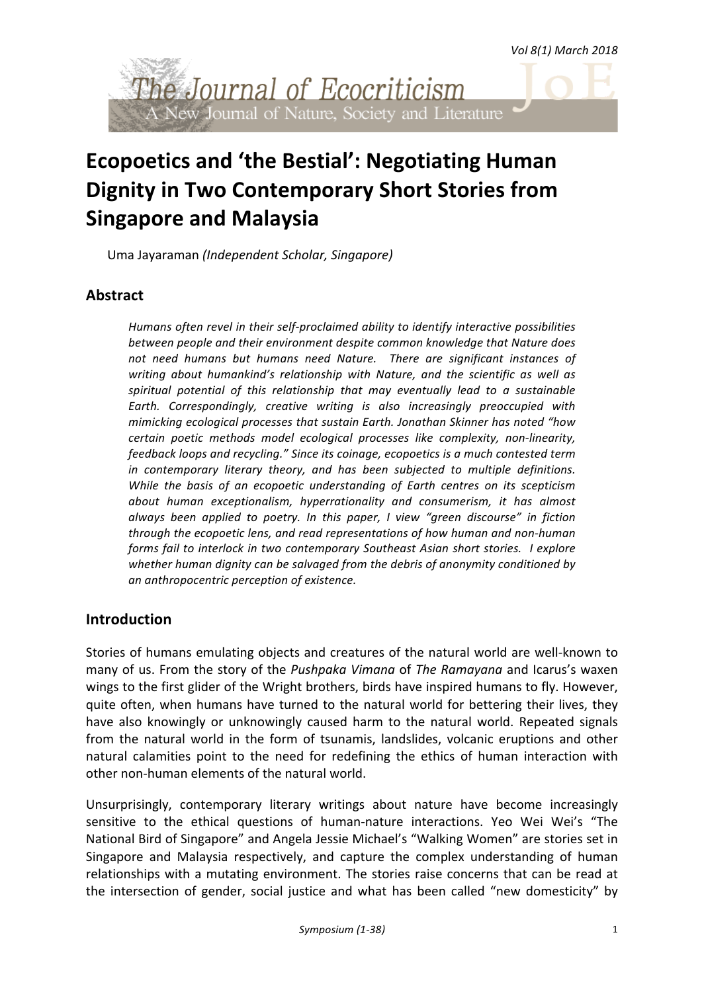*Vol 8(1) March 2018*



# **Ecopoetics and 'the Bestial': Negotiating Human Dignity in Two Contemporary Short Stories from Singapore and Malaysia**

Uma Jayaraman *(Independent Scholar, Singapore)*

# **Abstract**

Humans often revel in their self-proclaimed ability to identify interactive possibilities between people and their environment despite common knowledge that Nature does not need humans but humans need Nature. There are significant instances of writing about humankind's relationship with Nature, and the scientific as well as spiritual potential of this relationship that may eventually lead to a sustainable Earth. Correspondingly, creative writing is also increasingly preoccupied with *mimicking ecological processes that sustain Earth. Jonathan Skinner has noted "how* certain poetic methods model ecological processes like complexity, non-linearity, *feedback loops and recycling."* Since its coinage, ecopoetics is a much contested term *in* contemporary literary theory, and has been subjected to multiple definitions. *While the basis of an ecopoetic understanding of Earth centres on its scepticism* about human exceptionalism, hyperrationality and consumerism, it has almost *always been applied to poetry. In this paper, I view "green discourse" in fiction through* the ecopoetic lens, and read representations of how human and non-human *forms fail to interlock in two contemporary Southeast Asian short stories. I explore* whether human dignity can be salvaged from the debris of anonymity conditioned by *an anthropocentric perception of existence.* 

# **Introduction**

Stories of humans emulating objects and creatures of the natural world are well-known to many of us. From the story of the *Pushpaka Vimana* of *The Ramayana* and Icarus's waxen wings to the first glider of the Wright brothers, birds have inspired humans to fly. However, quite often, when humans have turned to the natural world for bettering their lives, they have also knowingly or unknowingly caused harm to the natural world. Repeated signals from the natural world in the form of tsunamis, landslides, volcanic eruptions and other natural calamities point to the need for redefining the ethics of human interaction with other non-human elements of the natural world.

Unsurprisingly, contemporary literary writings about nature have become increasingly sensitive to the ethical questions of human-nature interactions. Yeo Wei Wei's "The National Bird of Singapore" and Angela Jessie Michael's "Walking Women" are stories set in Singapore and Malaysia respectively, and capture the complex understanding of human relationships with a mutating environment. The stories raise concerns that can be read at the intersection of gender, social justice and what has been called "new domesticity" by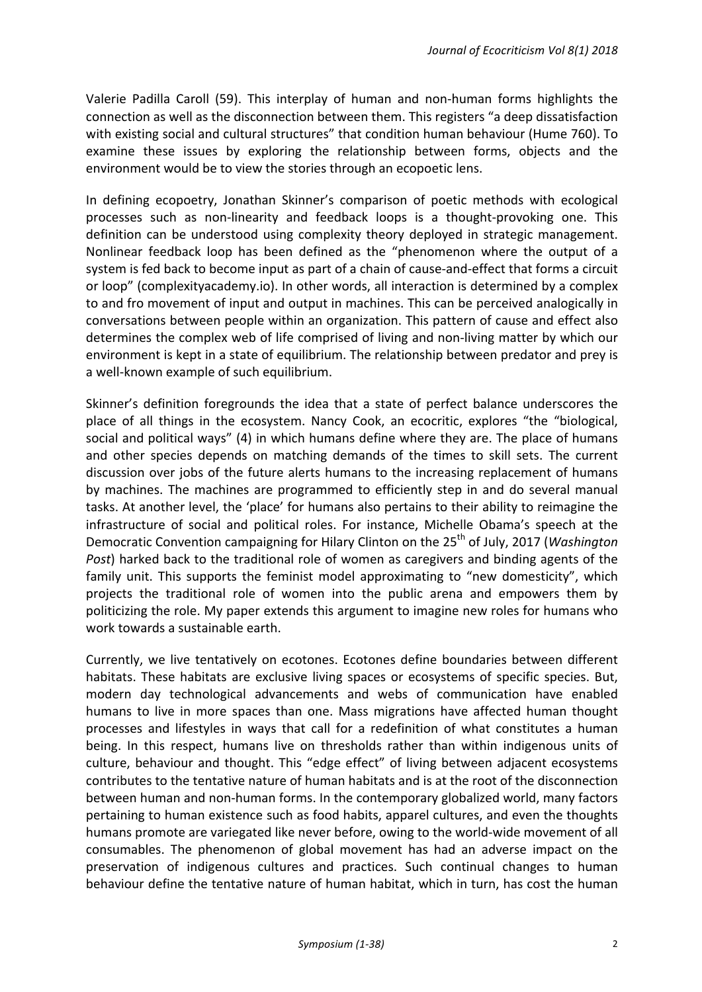Valerie Padilla Caroll (59). This interplay of human and non-human forms highlights the connection as well as the disconnection between them. This registers "a deep dissatisfaction with existing social and cultural structures" that condition human behaviour (Hume 760). To examine these issues by exploring the relationship between forms, objects and the environment would be to view the stories through an ecopoetic lens.

In defining ecopoetry, Jonathan Skinner's comparison of poetic methods with ecological processes such as non-linearity and feedback loops is a thought-provoking one. This definition can be understood using complexity theory deployed in strategic management. Nonlinear feedback loop has been defined as the "phenomenon where the output of a system is fed back to become input as part of a chain of cause-and-effect that forms a circuit or loop" (complexityacademy.io). In other words, all interaction is determined by a complex to and fro movement of input and output in machines. This can be perceived analogically in conversations between people within an organization. This pattern of cause and effect also determines the complex web of life comprised of living and non-living matter by which our environment is kept in a state of equilibrium. The relationship between predator and prey is a well-known example of such equilibrium.

Skinner's definition foregrounds the idea that a state of perfect balance underscores the place of all things in the ecosystem. Nancy Cook, an ecocritic, explores "the "biological, social and political ways" (4) in which humans define where they are. The place of humans and other species depends on matching demands of the times to skill sets. The current discussion over jobs of the future alerts humans to the increasing replacement of humans by machines. The machines are programmed to efficiently step in and do several manual tasks. At another level, the 'place' for humans also pertains to their ability to reimagine the infrastructure of social and political roles. For instance, Michelle Obama's speech at the Democratic Convention campaigning for Hilary Clinton on the 25<sup>th</sup> of July, 2017 (*Washington Post*) harked back to the traditional role of women as caregivers and binding agents of the family unit. This supports the feminist model approximating to "new domesticity", which projects the traditional role of women into the public arena and empowers them by politicizing the role. My paper extends this argument to imagine new roles for humans who work towards a sustainable earth.

Currently, we live tentatively on ecotones. Ecotones define boundaries between different habitats. These habitats are exclusive living spaces or ecosystems of specific species. But, modern day technological advancements and webs of communication have enabled humans to live in more spaces than one. Mass migrations have affected human thought processes and lifestyles in ways that call for a redefinition of what constitutes a human being. In this respect, humans live on thresholds rather than within indigenous units of culture, behaviour and thought. This "edge effect" of living between adjacent ecosystems contributes to the tentative nature of human habitats and is at the root of the disconnection between human and non-human forms. In the contemporary globalized world, many factors pertaining to human existence such as food habits, apparel cultures, and even the thoughts humans promote are variegated like never before, owing to the world-wide movement of all consumables. The phenomenon of global movement has had an adverse impact on the preservation of indigenous cultures and practices. Such continual changes to human behaviour define the tentative nature of human habitat, which in turn, has cost the human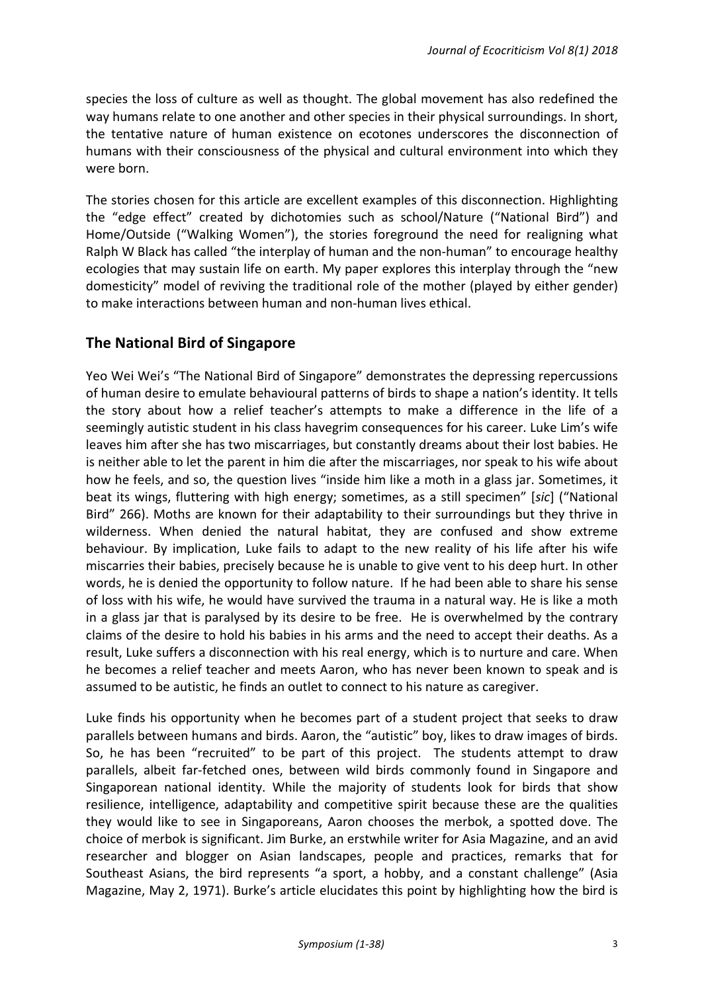species the loss of culture as well as thought. The global movement has also redefined the way humans relate to one another and other species in their physical surroundings. In short, the tentative nature of human existence on ecotones underscores the disconnection of humans with their consciousness of the physical and cultural environment into which they were born.

The stories chosen for this article are excellent examples of this disconnection. Highlighting the "edge effect" created by dichotomies such as school/Nature ("National Bird") and Home/Outside ("Walking Women"), the stories foreground the need for realigning what Ralph W Black has called "the interplay of human and the non-human" to encourage healthy ecologies that may sustain life on earth. My paper explores this interplay through the "new domesticity" model of reviving the traditional role of the mother (played by either gender) to make interactions between human and non-human lives ethical.

# **The National Bird of Singapore**

Yeo Wei Wei's "The National Bird of Singapore" demonstrates the depressing repercussions of human desire to emulate behavioural patterns of birds to shape a nation's identity. It tells the story about how a relief teacher's attempts to make a difference in the life of a seemingly autistic student in his class havegrim consequences for his career. Luke Lim's wife leaves him after she has two miscarriages, but constantly dreams about their lost babies. He is neither able to let the parent in him die after the miscarriages, nor speak to his wife about how he feels, and so, the question lives "inside him like a moth in a glass jar. Sometimes, it beat its wings, fluttering with high energy; sometimes, as a still specimen" [sic] ("National Bird" 266). Moths are known for their adaptability to their surroundings but they thrive in wilderness. When denied the natural habitat, they are confused and show extreme behaviour. By implication, Luke fails to adapt to the new reality of his life after his wife miscarries their babies, precisely because he is unable to give vent to his deep hurt. In other words, he is denied the opportunity to follow nature. If he had been able to share his sense of loss with his wife, he would have survived the trauma in a natural way. He is like a moth in a glass jar that is paralysed by its desire to be free. He is overwhelmed by the contrary claims of the desire to hold his babies in his arms and the need to accept their deaths. As a result, Luke suffers a disconnection with his real energy, which is to nurture and care. When he becomes a relief teacher and meets Aaron, who has never been known to speak and is assumed to be autistic, he finds an outlet to connect to his nature as caregiver.

Luke finds his opportunity when he becomes part of a student project that seeks to draw parallels between humans and birds. Aaron, the "autistic" boy, likes to draw images of birds. So, he has been "recruited" to be part of this project. The students attempt to draw parallels, albeit far-fetched ones, between wild birds commonly found in Singapore and Singaporean national identity. While the majority of students look for birds that show resilience, intelligence, adaptability and competitive spirit because these are the qualities they would like to see in Singaporeans, Aaron chooses the merbok, a spotted dove. The choice of merbok is significant. Jim Burke, an erstwhile writer for Asia Magazine, and an avid researcher and blogger on Asian landscapes, people and practices, remarks that for Southeast Asians, the bird represents "a sport, a hobby, and a constant challenge" (Asia Magazine, May 2, 1971). Burke's article elucidates this point by highlighting how the bird is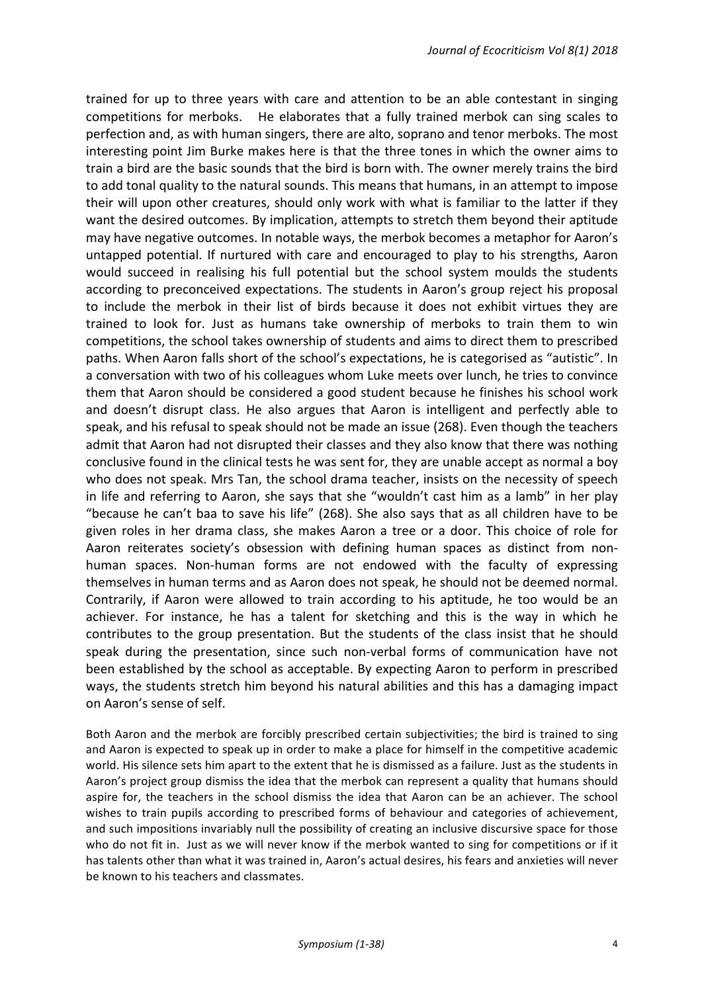trained for up to three years with care and attention to be an able contestant in singing competitions for merboks. He elaborates that a fully trained merbok can sing scales to perfection and, as with human singers, there are alto, soprano and tenor merboks. The most interesting point Jim Burke makes here is that the three tones in which the owner aims to train a bird are the basic sounds that the bird is born with. The owner merely trains the bird to add tonal quality to the natural sounds. This means that humans, in an attempt to impose their will upon other creatures, should only work with what is familiar to the latter if they want the desired outcomes. By implication, attempts to stretch them beyond their aptitude may have negative outcomes. In notable ways, the merbok becomes a metaphor for Aaron's untapped potential. If nurtured with care and encouraged to play to his strengths, Aaron would succeed in realising his full potential but the school system moulds the students according to preconceived expectations. The students in Aaron's group reject his proposal to include the merbok in their list of birds because it does not exhibit virtues they are trained to look for. Just as humans take ownership of merboks to train them to win competitions, the school takes ownership of students and aims to direct them to prescribed paths. When Aaron falls short of the school's expectations, he is categorised as "autistic". In a conversation with two of his colleagues whom Luke meets over lunch, he tries to convince them that Aaron should be considered a good student because he finishes his school work and doesn't disrupt class. He also argues that Aaron is intelligent and perfectly able to speak, and his refusal to speak should not be made an issue (268). Even though the teachers admit that Aaron had not disrupted their classes and they also know that there was nothing conclusive found in the clinical tests he was sent for, they are unable accept as normal a boy who does not speak. Mrs Tan, the school drama teacher, insists on the necessity of speech in life and referring to Aaron, she says that she "wouldn't cast him as a lamb" in her play "because he can't baa to save his life" (268). She also says that as all children have to be given roles in her drama class, she makes Aaron a tree or a door. This choice of role for Aaron reiterates society's obsession with defining human spaces as distinct from nonhuman spaces. Non-human forms are not endowed with the faculty of expressing themselves in human terms and as Aaron does not speak, he should not be deemed normal. Contrarily, if Aaron were allowed to train according to his aptitude, he too would be an achiever. For instance, he has a talent for sketching and this is the way in which he contributes to the group presentation. But the students of the class insist that he should speak during the presentation, since such non-verbal forms of communication have not been established by the school as acceptable. By expecting Aaron to perform in prescribed ways, the students stretch him beyond his natural abilities and this has a damaging impact on Aaron's sense of self.

Both Aaron and the merbok are forcibly prescribed certain subjectivities; the bird is trained to sing and Aaron is expected to speak up in order to make a place for himself in the competitive academic world. His silence sets him apart to the extent that he is dismissed as a failure. Just as the students in Aaron's project group dismiss the idea that the merbok can represent a quality that humans should aspire for, the teachers in the school dismiss the idea that Aaron can be an achiever. The school wishes to train pupils according to prescribed forms of behaviour and categories of achievement, and such impositions invariably null the possibility of creating an inclusive discursive space for those who do not fit in. Just as we will never know if the merbok wanted to sing for competitions or if it has talents other than what it was trained in, Aaron's actual desires, his fears and anxieties will never be known to his teachers and classmates.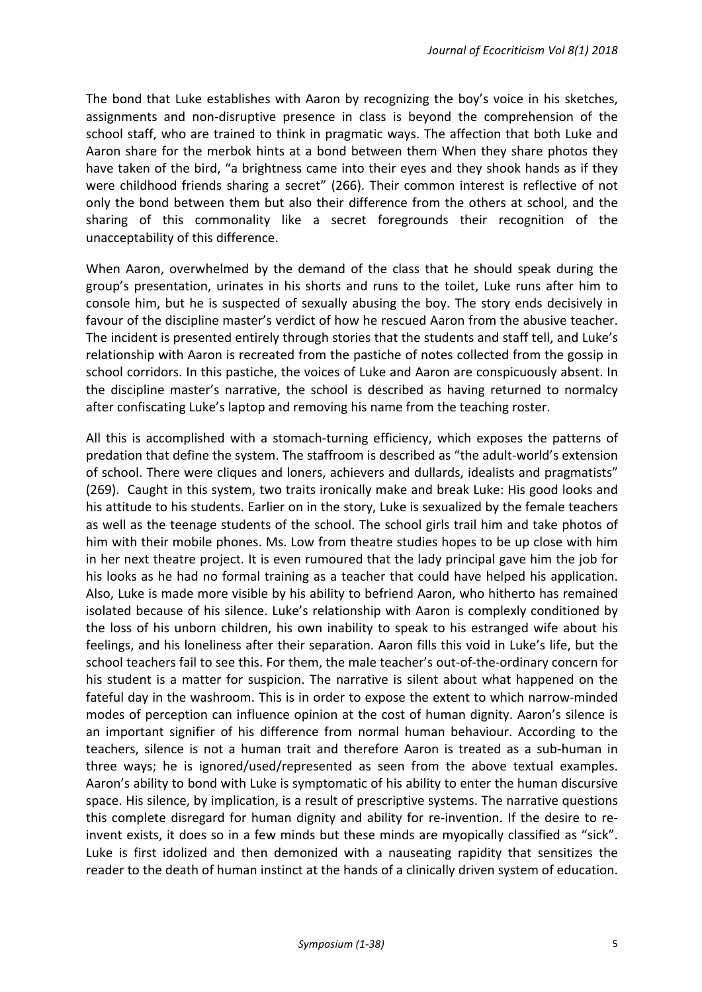The bond that Luke establishes with Aaron by recognizing the boy's voice in his sketches, assignments and non-disruptive presence in class is beyond the comprehension of the school staff, who are trained to think in pragmatic ways. The affection that both Luke and Aaron share for the merbok hints at a bond between them When they share photos they have taken of the bird, "a brightness came into their eyes and they shook hands as if they were childhood friends sharing a secret" (266). Their common interest is reflective of not only the bond between them but also their difference from the others at school, and the sharing of this commonality like a secret foregrounds their recognition of the unacceptability of this difference.

When Aaron, overwhelmed by the demand of the class that he should speak during the group's presentation, urinates in his shorts and runs to the toilet, Luke runs after him to console him, but he is suspected of sexually abusing the boy. The story ends decisively in favour of the discipline master's verdict of how he rescued Aaron from the abusive teacher. The incident is presented entirely through stories that the students and staff tell, and Luke's relationship with Aaron is recreated from the pastiche of notes collected from the gossip in school corridors. In this pastiche, the voices of Luke and Aaron are conspicuously absent. In the discipline master's narrative, the school is described as having returned to normalcy after confiscating Luke's laptop and removing his name from the teaching roster.

All this is accomplished with a stomach-turning efficiency, which exposes the patterns of predation that define the system. The staffroom is described as "the adult-world's extension of school. There were cliques and loners, achievers and dullards, idealists and pragmatists" (269). Caught in this system, two traits ironically make and break Luke: His good looks and his attitude to his students. Earlier on in the story, Luke is sexualized by the female teachers as well as the teenage students of the school. The school girls trail him and take photos of him with their mobile phones. Ms. Low from theatre studies hopes to be up close with him in her next theatre project. It is even rumoured that the lady principal gave him the job for his looks as he had no formal training as a teacher that could have helped his application. Also, Luke is made more visible by his ability to befriend Aaron, who hitherto has remained isolated because of his silence. Luke's relationship with Aaron is complexly conditioned by the loss of his unborn children, his own inability to speak to his estranged wife about his feelings, and his loneliness after their separation. Aaron fills this void in Luke's life, but the school teachers fail to see this. For them, the male teacher's out-of-the-ordinary concern for his student is a matter for suspicion. The narrative is silent about what happened on the fateful day in the washroom. This is in order to expose the extent to which narrow-minded modes of perception can influence opinion at the cost of human dignity. Aaron's silence is an important signifier of his difference from normal human behaviour. According to the teachers, silence is not a human trait and therefore Aaron is treated as a sub-human in three ways; he is ignored/used/represented as seen from the above textual examples. Aaron's ability to bond with Luke is symptomatic of his ability to enter the human discursive space. His silence, by implication, is a result of prescriptive systems. The narrative questions this complete disregard for human dignity and ability for re-invention. If the desire to reinvent exists, it does so in a few minds but these minds are myopically classified as "sick". Luke is first idolized and then demonized with a nauseating rapidity that sensitizes the reader to the death of human instinct at the hands of a clinically driven system of education.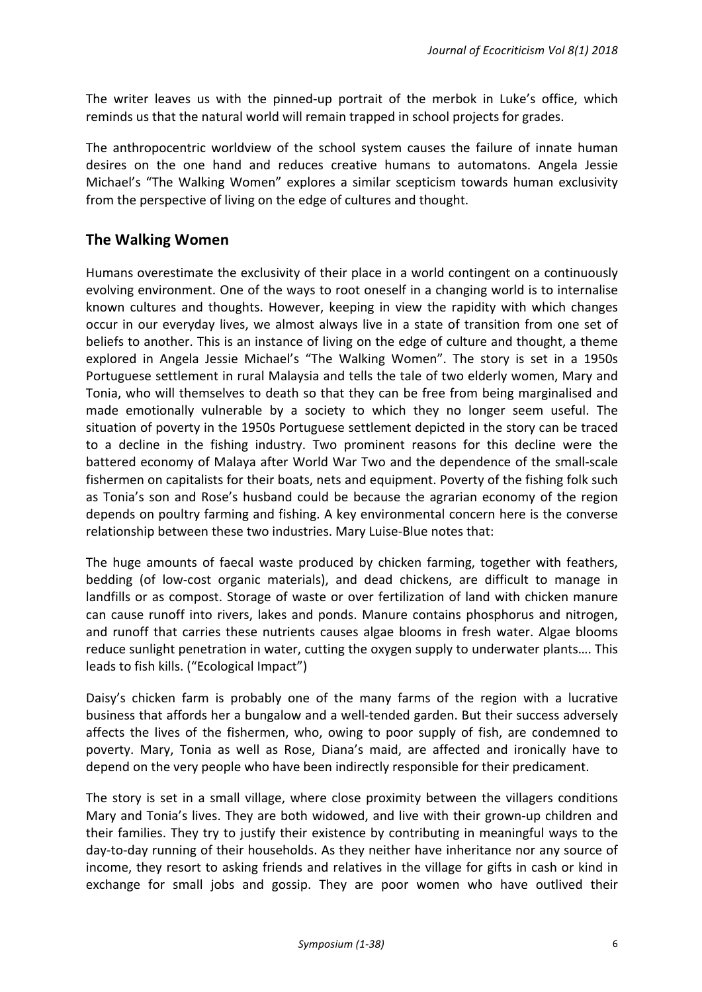The writer leaves us with the pinned-up portrait of the merbok in Luke's office, which reminds us that the natural world will remain trapped in school projects for grades.

The anthropocentric worldview of the school system causes the failure of innate human desires on the one hand and reduces creative humans to automatons. Angela Jessie Michael's "The Walking Women" explores a similar scepticism towards human exclusivity from the perspective of living on the edge of cultures and thought.

# **The Walking Women**

Humans overestimate the exclusivity of their place in a world contingent on a continuously evolving environment. One of the ways to root oneself in a changing world is to internalise known cultures and thoughts. However, keeping in view the rapidity with which changes occur in our everyday lives, we almost always live in a state of transition from one set of beliefs to another. This is an instance of living on the edge of culture and thought, a theme explored in Angela Jessie Michael's "The Walking Women". The story is set in a 1950s Portuguese settlement in rural Malaysia and tells the tale of two elderly women, Mary and Tonia, who will themselves to death so that they can be free from being marginalised and made emotionally vulnerable by a society to which they no longer seem useful. The situation of poverty in the 1950s Portuguese settlement depicted in the story can be traced to a decline in the fishing industry. Two prominent reasons for this decline were the battered economy of Malaya after World War Two and the dependence of the small-scale fishermen on capitalists for their boats, nets and equipment. Poverty of the fishing folk such as Tonia's son and Rose's husband could be because the agrarian economy of the region depends on poultry farming and fishing. A key environmental concern here is the converse relationship between these two industries. Mary Luise-Blue notes that:

The huge amounts of faecal waste produced by chicken farming, together with feathers, bedding (of low-cost organic materials), and dead chickens, are difficult to manage in landfills or as compost. Storage of waste or over fertilization of land with chicken manure can cause runoff into rivers, lakes and ponds. Manure contains phosphorus and nitrogen, and runoff that carries these nutrients causes algae blooms in fresh water. Algae blooms reduce sunlight penetration in water, cutting the oxygen supply to underwater plants.... This leads to fish kills. ("Ecological Impact")

Daisy's chicken farm is probably one of the many farms of the region with a lucrative business that affords her a bungalow and a well-tended garden. But their success adversely affects the lives of the fishermen, who, owing to poor supply of fish, are condemned to poverty. Mary, Tonia as well as Rose, Diana's maid, are affected and ironically have to depend on the very people who have been indirectly responsible for their predicament.

The story is set in a small village, where close proximity between the villagers conditions Mary and Tonia's lives. They are both widowed, and live with their grown-up children and their families. They try to justify their existence by contributing in meaningful ways to the day-to-day running of their households. As they neither have inheritance nor any source of income, they resort to asking friends and relatives in the village for gifts in cash or kind in exchange for small jobs and gossip. They are poor women who have outlived their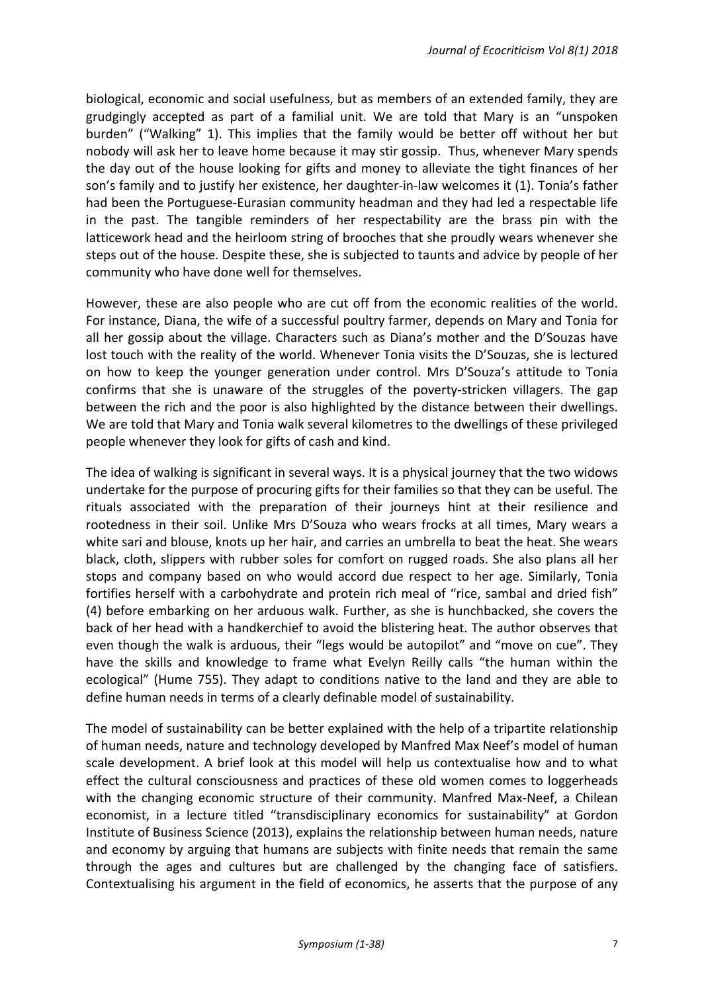biological, economic and social usefulness, but as members of an extended family, they are grudgingly accepted as part of a familial unit. We are told that Mary is an "unspoken burden" ("Walking" 1). This implies that the family would be better off without her but nobody will ask her to leave home because it may stir gossip. Thus, whenever Mary spends the day out of the house looking for gifts and money to alleviate the tight finances of her son's family and to justify her existence, her daughter-in-law welcomes it (1). Tonia's father had been the Portuguese-Eurasian community headman and they had led a respectable life in the past. The tangible reminders of her respectability are the brass pin with the latticework head and the heirloom string of brooches that she proudly wears whenever she steps out of the house. Despite these, she is subjected to taunts and advice by people of her community who have done well for themselves.

However, these are also people who are cut off from the economic realities of the world. For instance, Diana, the wife of a successful poultry farmer, depends on Mary and Tonia for all her gossip about the village. Characters such as Diana's mother and the D'Souzas have lost touch with the reality of the world. Whenever Tonia visits the D'Souzas, she is lectured on how to keep the younger generation under control. Mrs D'Souza's attitude to Tonia confirms that she is unaware of the struggles of the poverty-stricken villagers. The gap between the rich and the poor is also highlighted by the distance between their dwellings. We are told that Mary and Tonia walk several kilometres to the dwellings of these privileged people whenever they look for gifts of cash and kind.

The idea of walking is significant in several ways. It is a physical journey that the two widows undertake for the purpose of procuring gifts for their families so that they can be useful. The rituals associated with the preparation of their journeys hint at their resilience and rootedness in their soil. Unlike Mrs D'Souza who wears frocks at all times, Mary wears a white sari and blouse, knots up her hair, and carries an umbrella to beat the heat. She wears black, cloth, slippers with rubber soles for comfort on rugged roads. She also plans all her stops and company based on who would accord due respect to her age. Similarly, Tonia fortifies herself with a carbohydrate and protein rich meal of "rice, sambal and dried fish" (4) before embarking on her arduous walk. Further, as she is hunchbacked, she covers the back of her head with a handkerchief to avoid the blistering heat. The author observes that even though the walk is arduous, their "legs would be autopilot" and "move on cue". They have the skills and knowledge to frame what Evelyn Reilly calls "the human within the ecological" (Hume 755). They adapt to conditions native to the land and they are able to define human needs in terms of a clearly definable model of sustainability.

The model of sustainability can be better explained with the help of a tripartite relationship of human needs, nature and technology developed by Manfred Max Neef's model of human scale development. A brief look at this model will help us contextualise how and to what effect the cultural consciousness and practices of these old women comes to loggerheads with the changing economic structure of their community. Manfred Max-Neef, a Chilean economist, in a lecture titled "transdisciplinary economics for sustainability" at Gordon Institute of Business Science (2013), explains the relationship between human needs, nature and economy by arguing that humans are subjects with finite needs that remain the same through the ages and cultures but are challenged by the changing face of satisfiers. Contextualising his argument in the field of economics, he asserts that the purpose of any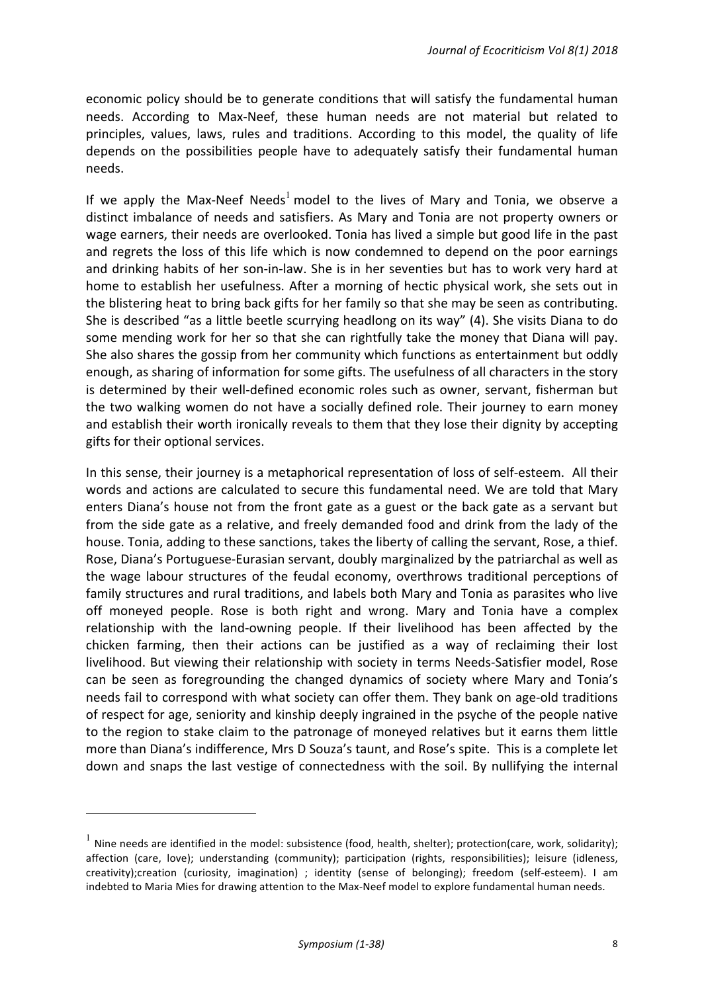economic policy should be to generate conditions that will satisfy the fundamental human needs. According to Max-Neef, these human needs are not material but related to principles, values, laws, rules and traditions. According to this model, the quality of life depends on the possibilities people have to adequately satisfy their fundamental human needs. 

If we apply the Max-Neef Needs<sup>1</sup> model to the lives of Mary and Tonia, we observe a distinct imbalance of needs and satisfiers. As Mary and Tonia are not property owners or wage earners, their needs are overlooked. Tonia has lived a simple but good life in the past and regrets the loss of this life which is now condemned to depend on the poor earnings and drinking habits of her son-in-law. She is in her seventies but has to work very hard at home to establish her usefulness. After a morning of hectic physical work, she sets out in the blistering heat to bring back gifts for her family so that she may be seen as contributing. She is described "as a little beetle scurrying headlong on its way"  $(4)$ . She visits Diana to do some mending work for her so that she can rightfully take the money that Diana will pay. She also shares the gossip from her community which functions as entertainment but oddly enough, as sharing of information for some gifts. The usefulness of all characters in the story is determined by their well-defined economic roles such as owner, servant, fisherman but the two walking women do not have a socially defined role. Their journey to earn money and establish their worth ironically reveals to them that they lose their dignity by accepting gifts for their optional services.

In this sense, their journey is a metaphorical representation of loss of self-esteem. All their words and actions are calculated to secure this fundamental need. We are told that Mary enters Diana's house not from the front gate as a guest or the back gate as a servant but from the side gate as a relative, and freely demanded food and drink from the lady of the house. Tonia, adding to these sanctions, takes the liberty of calling the servant, Rose, a thief. Rose, Diana's Portuguese-Eurasian servant, doubly marginalized by the patriarchal as well as the wage labour structures of the feudal economy, overthrows traditional perceptions of family structures and rural traditions, and labels both Mary and Tonia as parasites who live off moneyed people. Rose is both right and wrong. Mary and Tonia have a complex relationship with the land-owning people. If their livelihood has been affected by the chicken farming, then their actions can be justified as a way of reclaiming their lost livelihood. But viewing their relationship with society in terms Needs-Satisfier model, Rose can be seen as foregrounding the changed dynamics of society where Mary and Tonia's needs fail to correspond with what society can offer them. They bank on age-old traditions of respect for age, seniority and kinship deeply ingrained in the psyche of the people native to the region to stake claim to the patronage of moneyed relatives but it earns them little more than Diana's indifference, Mrs D Souza's taunt, and Rose's spite. This is a complete let down and snaps the last vestige of connectedness with the soil. By nullifying the internal

<u> 1989 - Johann Barn, mars ann an t-Amhain an t-Amhain an t-Amhain an t-Amhain an t-Amhain an t-Amhain an t-Amh</u>

 $^{-1}$  Nine needs are identified in the model: subsistence (food, health, shelter); protection(care, work, solidarity); affection (care, love); understanding (community); participation (rights, responsibilities); leisure (idleness, creativity);creation (curiosity, imagination) ; identity (sense of belonging); freedom (self-esteem). I am indebted to Maria Mies for drawing attention to the Max-Neef model to explore fundamental human needs.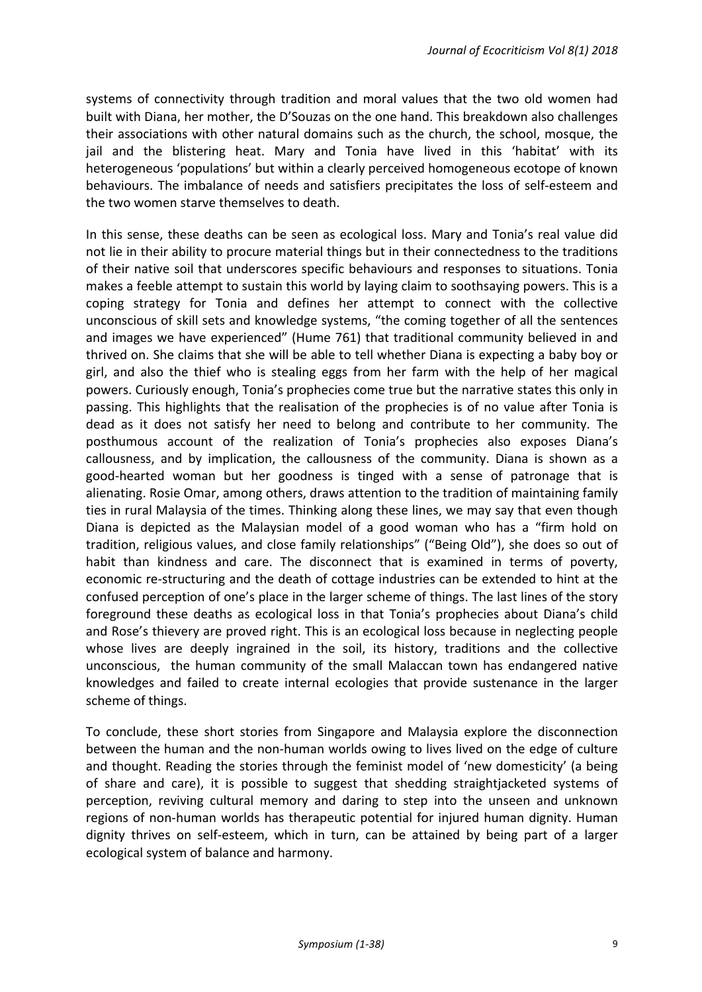systems of connectivity through tradition and moral values that the two old women had built with Diana, her mother, the D'Souzas on the one hand. This breakdown also challenges their associations with other natural domains such as the church, the school, mosque, the jail and the blistering heat. Mary and Tonia have lived in this 'habitat' with its heterogeneous 'populations' but within a clearly perceived homogeneous ecotope of known behaviours. The imbalance of needs and satisfiers precipitates the loss of self-esteem and the two women starve themselves to death.

In this sense, these deaths can be seen as ecological loss. Mary and Tonia's real value did not lie in their ability to procure material things but in their connectedness to the traditions of their native soil that underscores specific behaviours and responses to situations. Tonia makes a feeble attempt to sustain this world by laying claim to soothsaying powers. This is a coping strategy for Tonia and defines her attempt to connect with the collective unconscious of skill sets and knowledge systems, "the coming together of all the sentences and images we have experienced" (Hume 761) that traditional community believed in and thrived on. She claims that she will be able to tell whether Diana is expecting a baby boy or girl, and also the thief who is stealing eggs from her farm with the help of her magical powers. Curiously enough, Tonia's prophecies come true but the narrative states this only in passing. This highlights that the realisation of the prophecies is of no value after Tonia is dead as it does not satisfy her need to belong and contribute to her community. The posthumous account of the realization of Tonia's prophecies also exposes Diana's callousness, and by implication, the callousness of the community. Diana is shown as a good-hearted woman but her goodness is tinged with a sense of patronage that is alienating. Rosie Omar, among others, draws attention to the tradition of maintaining family ties in rural Malaysia of the times. Thinking along these lines, we may say that even though Diana is depicted as the Malaysian model of a good woman who has a "firm hold on tradition, religious values, and close family relationships" ("Being Old"), she does so out of habit than kindness and care. The disconnect that is examined in terms of poverty, economic re-structuring and the death of cottage industries can be extended to hint at the confused perception of one's place in the larger scheme of things. The last lines of the story foreground these deaths as ecological loss in that Tonia's prophecies about Diana's child and Rose's thievery are proved right. This is an ecological loss because in neglecting people whose lives are deeply ingrained in the soil, its history, traditions and the collective unconscious, the human community of the small Malaccan town has endangered native knowledges and failed to create internal ecologies that provide sustenance in the larger scheme of things.

To conclude, these short stories from Singapore and Malaysia explore the disconnection between the human and the non-human worlds owing to lives lived on the edge of culture and thought. Reading the stories through the feminist model of 'new domesticity' (a being of share and care), it is possible to suggest that shedding straightjacketed systems of perception, reviving cultural memory and daring to step into the unseen and unknown regions of non-human worlds has therapeutic potential for injured human dignity. Human dignity thrives on self-esteem, which in turn, can be attained by being part of a larger ecological system of balance and harmony.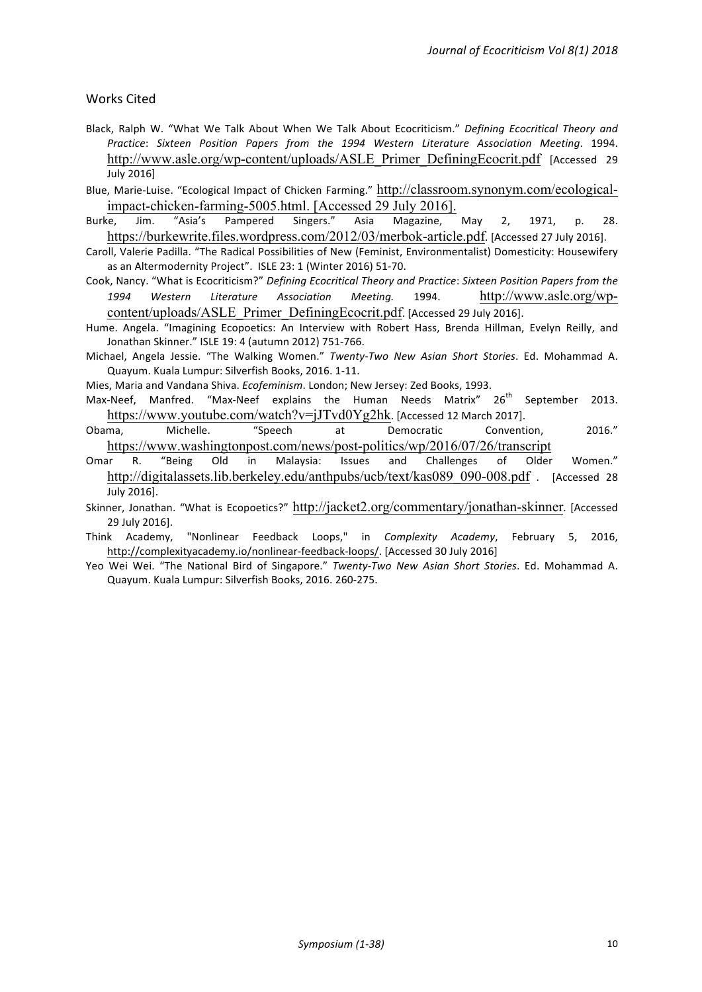#### Works Cited

- Black, Ralph W. "What We Talk About When We Talk About Ecocriticism." *Defining Ecocritical Theory and Practice*: *Sixteen Position Papers from the 1994 Western Literature Association Meeting*. 1994. http://www.asle.org/wp-content/uploads/ASLE\_Primer\_DefiningEcocrit.pdf [Accessed 29] July 2016]
- Blue, Marie-Luise. "Ecological Impact of Chicken Farming." http://classroom.synonym.com/ecologicalimpact-chicken-farming-5005.html. [Accessed 29 July 2016].
- Burke, Jim. "Asia's Pampered Singers." Asia Magazine, May 2, 1971, p. 28. https://burkewrite.files.wordpress.com/2012/03/merbok-article.pdf. [Accessed 27 July 2016].
- Caroll, Valerie Padilla. "The Radical Possibilities of New (Feminist, Environmentalist) Domesticity: Housewifery as an Altermodernity Project". ISLE 23: 1 (Winter 2016) 51-70.
- Cook, Nancy. "What is Ecocriticism?" *Defining Ecocritical Theory and Practice: Sixteen Position Papers from the 1994 Western Literature Association Meeting.*  1994. http://www.asle.org/wpcontent/uploads/ASLE\_Primer\_DefiningEcocrit.pdf. [Accessed 29 July 2016].
- Hume. Angela. "Imagining Ecopoetics: An Interview with Robert Hass, Brenda Hillman, Evelyn Reilly, and Jonathan Skinner." ISLE 19: 4 (autumn 2012) 751-766.
- Michael, Angela Jessie. "The Walking Women." *Twenty-Two New Asian Short Stories*. Ed. Mohammad A. Quayum. Kuala Lumpur: Silverfish Books, 2016. 1-11.
- Mies, Maria and Vandana Shiva. *Ecofeminism*. London; New Jersey: Zed Books, 1993.
- Max-Neef, Manfred. "Max-Neef explains the Human Needs Matrix" 26<sup>th</sup> September 2013. https://www.youtube.com/watch?v=jJTvd0Yg2hk. [Accessed 12 March 2017].
- Obama, Michelle. "Speech at Democratic Convention, 2016." https://www.washingtonpost.com/news/post-politics/wp/2016/07/26/transcript
- Omar R. "Being Old in Malaysia: Issues and Challenges of Older Women." http://digitalassets.lib.berkeley.edu/anthpubs/ucb/text/kas089 090-008.pdf . [Accessed 28 July 2016].
- Skinner, Jonathan. "What is Ecopoetics?" http://jacket2.org/commentary/jonathan-skinner. [Accessed] 29 July 2016].
- Think Academy, "Nonlinear Feedback Loops," in *Complexity Academy*, February 5, 2016, http://complexityacademy.io/nonlinear-feedback-loops/. [Accessed 30 July 2016]
- Yeo Wei Wei. "The National Bird of Singapore." *Twenty-Two New Asian Short Stories*. Ed. Mohammad A. Quayum. Kuala Lumpur: Silverfish Books, 2016. 260-275.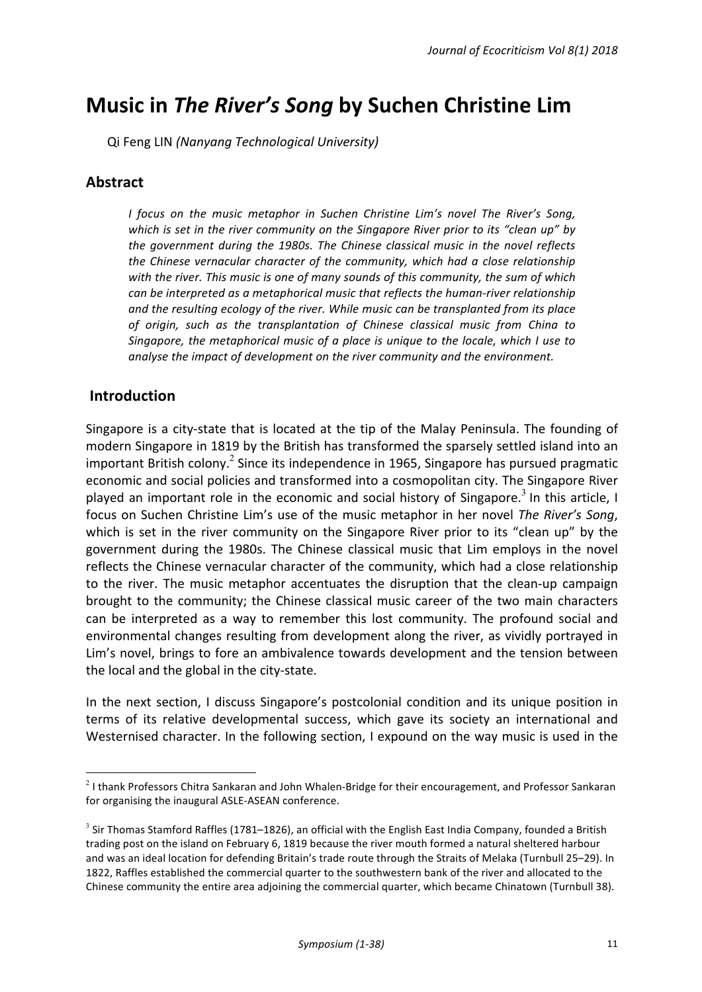# **Music in The River's Song by Suchen Christine Lim**

Qi Feng LIN *(Nanyang Technological University)*

# **Abstract**

*I* focus on the music metaphor in Suchen Christine Lim's novel The River's Song, which is set in the river community on the Singapore River prior to its "clean up" by the government during the 1980s. The Chinese classical music in the novel reflects *the Chinese vernacular character of the community, which had a close relationship* with the river. This music is one of many sounds of this community, the sum of which *can be interpreted as a metaphorical music that reflects the human-river relationship* and the resulting ecology of the river. While music can be transplanted from its place of origin, such as the transplantation of Chinese classical music from China to *Singapore, the metaphorical music of a place is unique to the locale, which I use to* analyse the impact of development on the river community and the environment.

# **Introduction**

<u> 1989 - Johann Barn, mars ann an t-Amhain an t-Amhain an t-Amhain an t-Amhain an t-Amhain an t-Amhain an t-Amh</u>

Singapore is a city-state that is located at the tip of the Malay Peninsula. The founding of modern Singapore in 1819 by the British has transformed the sparsely settled island into an important British colony.<sup>2</sup> Since its independence in 1965, Singapore has pursued pragmatic economic and social policies and transformed into a cosmopolitan city. The Singapore River played an important role in the economic and social history of Singapore.<sup>3</sup> In this article, I focus on Suchen Christine Lim's use of the music metaphor in her novel *The River's Song*, which is set in the river community on the Singapore River prior to its "clean up" by the government during the 1980s. The Chinese classical music that Lim employs in the novel reflects the Chinese vernacular character of the community, which had a close relationship to the river. The music metaphor accentuates the disruption that the clean-up campaign brought to the community; the Chinese classical music career of the two main characters can be interpreted as a way to remember this lost community. The profound social and environmental changes resulting from development along the river, as vividly portrayed in Lim's novel, brings to fore an ambivalence towards development and the tension between the local and the global in the city-state.

In the next section, I discuss Singapore's postcolonial condition and its unique position in terms of its relative developmental success, which gave its society an international and Westernised character. In the following section, I expound on the way music is used in the

 $2$  I thank Professors Chitra Sankaran and John Whalen-Bridge for their encouragement, and Professor Sankaran for organising the inaugural ASLE-ASEAN conference.

 $3$  Sir Thomas Stamford Raffles (1781–1826), an official with the English East India Company, founded a British trading post on the island on February 6, 1819 because the river mouth formed a natural sheltered harbour and was an ideal location for defending Britain's trade route through the Straits of Melaka (Turnbull 25–29). In 1822, Raffles established the commercial quarter to the southwestern bank of the river and allocated to the Chinese community the entire area adjoining the commercial quarter, which became Chinatown (Turnbull 38).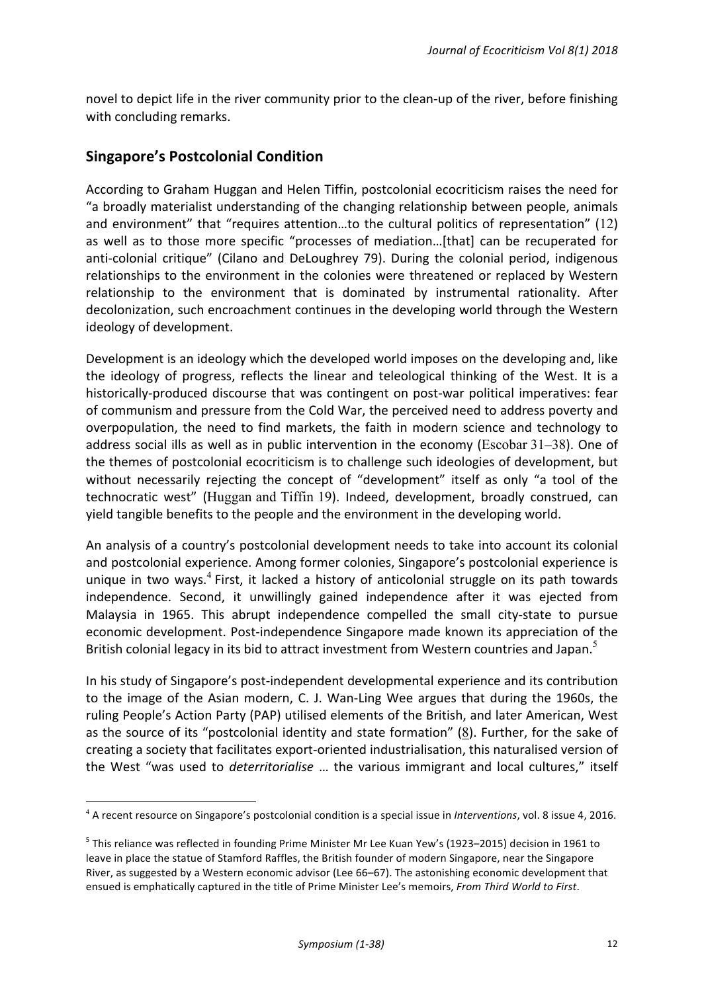novel to depict life in the river community prior to the clean-up of the river, before finishing with concluding remarks.

# **Singapore's Postcolonial Condition**

 

According to Graham Huggan and Helen Tiffin, postcolonial ecocriticism raises the need for "a broadly materialist understanding of the changing relationship between people, animals and environment" that "requires attention...to the cultural politics of representation"  $(12)$ as well as to those more specific "processes of mediation...[that] can be recuperated for anti-colonial critique" (Cilano and DeLoughrey 79). During the colonial period, indigenous relationships to the environment in the colonies were threatened or replaced by Western relationship to the environment that is dominated by instrumental rationality. After decolonization, such encroachment continues in the developing world through the Western ideology of development.

Development is an ideology which the developed world imposes on the developing and, like the ideology of progress, reflects the linear and teleological thinking of the West. It is a historically-produced discourse that was contingent on post-war political imperatives: fear of communism and pressure from the Cold War, the perceived need to address poverty and overpopulation, the need to find markets, the faith in modern science and technology to address social ills as well as in public intervention in the economy (Escobar  $31-38$ ). One of the themes of postcolonial ecocriticism is to challenge such ideologies of development, but without necessarily rejecting the concept of "development" itself as only "a tool of the technocratic west" (Huggan and Tiffin 19). Indeed, development, broadly construed, can yield tangible benefits to the people and the environment in the developing world.

An analysis of a country's postcolonial development needs to take into account its colonial and postcolonial experience. Among former colonies, Singapore's postcolonial experience is unique in two ways.<sup>4</sup> First, it lacked a history of anticolonial struggle on its path towards independence. Second, it unwillingly gained independence after it was ejected from Malaysia in 1965. This abrupt independence compelled the small city-state to pursue economic development. Post-independence Singapore made known its appreciation of the British colonial legacy in its bid to attract investment from Western countries and Japan.<sup>5</sup>

In his study of Singapore's post-independent developmental experience and its contribution to the image of the Asian modern, C. J. Wan-Ling Wee argues that during the 1960s, the ruling People's Action Party (PAP) utilised elements of the British, and later American, West as the source of its "postcolonial identity and state formation" (8). Further, for the sake of creating a society that facilitates export-oriented industrialisation, this naturalised version of the West "was used to *deterritorialise* ... the various immigrant and local cultures," itself

<sup>&</sup>lt;sup>4</sup> A recent resource on Singapore's postcolonial condition is a special issue in *Interventions*, vol. 8 issue 4, 2016.

 $5$  This reliance was reflected in founding Prime Minister Mr Lee Kuan Yew's (1923–2015) decision in 1961 to leave in place the statue of Stamford Raffles, the British founder of modern Singapore, near the Singapore River, as suggested by a Western economic advisor (Lee 66–67). The astonishing economic development that ensued is emphatically captured in the title of Prime Minister Lee's memoirs, *From Third World to First*.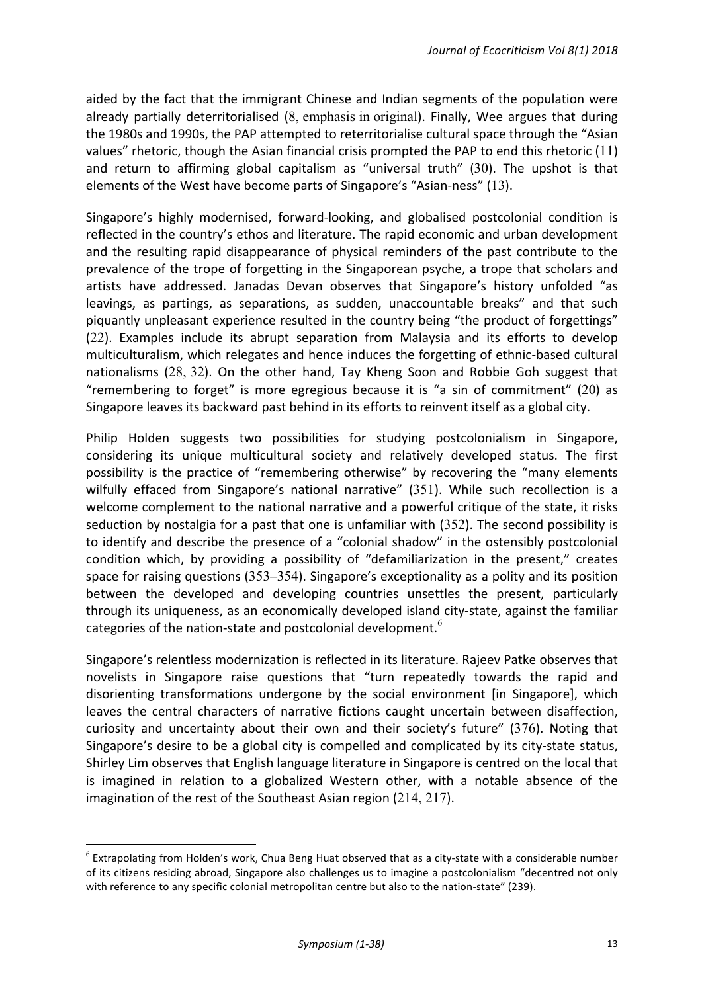aided by the fact that the immigrant Chinese and Indian segments of the population were already partially deterritorialised  $(8,$  emphasis in original). Finally, Wee argues that during the 1980s and 1990s, the PAP attempted to reterritorialise cultural space through the "Asian values" rhetoric, though the Asian financial crisis prompted the PAP to end this rhetoric  $(11)$ and return to affirming global capitalism as "universal truth"  $(30)$ . The upshot is that elements of the West have become parts of Singapore's "Asian-ness" (13).

Singapore's highly modernised, forward-looking, and globalised postcolonial condition is reflected in the country's ethos and literature. The rapid economic and urban development and the resulting rapid disappearance of physical reminders of the past contribute to the prevalence of the trope of forgetting in the Singaporean psyche, a trope that scholars and artists have addressed. Janadas Devan observes that Singapore's history unfolded "as leavings, as partings, as separations, as sudden, unaccountable breaks" and that such piquantly unpleasant experience resulted in the country being "the product of forgettings" (22). Examples include its abrupt separation from Malaysia and its efforts to develop multiculturalism, which relegates and hence induces the forgetting of ethnic-based cultural nationalisms  $(28, 32)$ . On the other hand, Tay Kheng Soon and Robbie Goh suggest that "remembering to forget" is more egregious because it is "a sin of commitment" (20) as Singapore leaves its backward past behind in its efforts to reinvent itself as a global city.

Philip Holden suggests two possibilities for studying postcolonialism in Singapore, considering its unique multicultural society and relatively developed status. The first possibility is the practice of "remembering otherwise" by recovering the "many elements wilfully effaced from Singapore's national narrative" (351). While such recollection is a welcome complement to the national narrative and a powerful critique of the state, it risks seduction by nostalgia for a past that one is unfamiliar with  $(352)$ . The second possibility is to identify and describe the presence of a "colonial shadow" in the ostensibly postcolonial condition which, by providing a possibility of "defamiliarization in the present," creates space for raising questions  $(353-354)$ . Singapore's exceptionality as a polity and its position between the developed and developing countries unsettles the present, particularly through its uniqueness, as an economically developed island city-state, against the familiar categories of the nation-state and postcolonial development.<sup>6</sup>

Singapore's relentless modernization is reflected in its literature. Rajeev Patke observes that novelists in Singapore raise questions that "turn repeatedly towards the rapid and disorienting transformations undergone by the social environment [in Singapore], which leaves the central characters of narrative fictions caught uncertain between disaffection, curiosity and uncertainty about their own and their society's future" (376). Noting that Singapore's desire to be a global city is compelled and complicated by its city-state status, Shirley Lim observes that English language literature in Singapore is centred on the local that is imagined in relation to a globalized Western other, with a notable absence of the imagination of the rest of the Southeast Asian region  $(214, 217)$ .

<u> 1989 - Johann Barn, mars ann an t-Amhain an t-Amhain an t-Amhain an t-Amhain an t-Amhain an t-Amhain an t-Amh</u>

 $6$  Extrapolating from Holden's work, Chua Beng Huat observed that as a city-state with a considerable number of its citizens residing abroad, Singapore also challenges us to imagine a postcolonialism "decentred not only with reference to any specific colonial metropolitan centre but also to the nation-state" (239).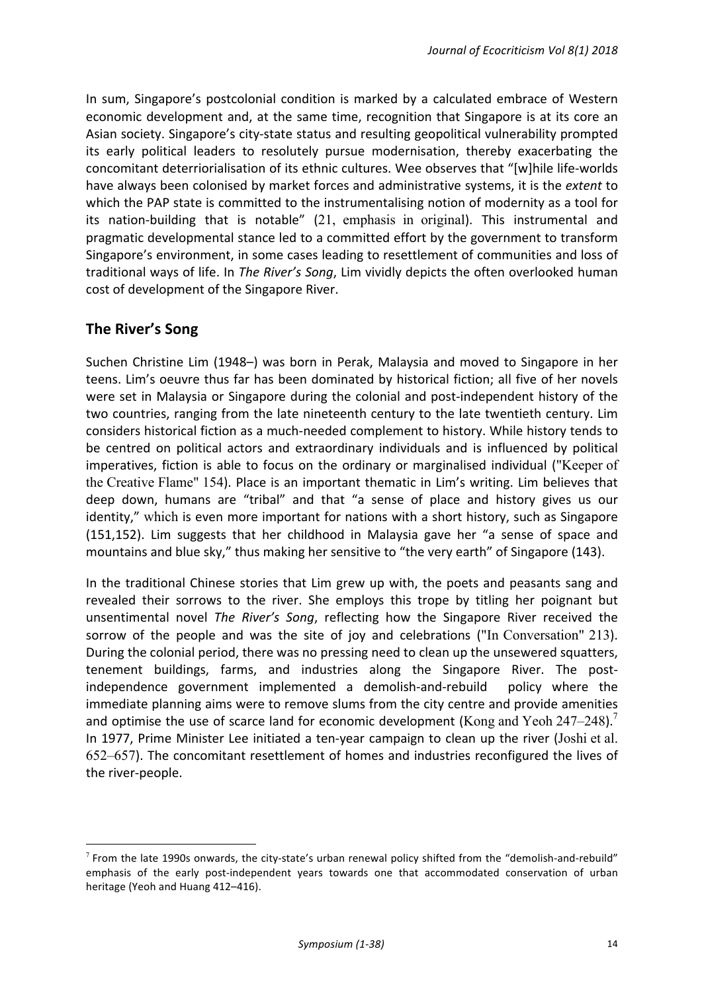In sum, Singapore's postcolonial condition is marked by a calculated embrace of Western economic development and, at the same time, recognition that Singapore is at its core an Asian society. Singapore's city-state status and resulting geopolitical vulnerability prompted its early political leaders to resolutely pursue modernisation, thereby exacerbating the concomitant deterriorialisation of its ethnic cultures. Wee observes that "[w]hile life-worlds have always been colonised by market forces and administrative systems, it is the extent to which the PAP state is committed to the instrumentalising notion of modernity as a tool for its nation-building that is notable" (21, emphasis in original). This instrumental and pragmatic developmental stance led to a committed effort by the government to transform Singapore's environment, in some cases leading to resettlement of communities and loss of traditional ways of life. In *The River's Song*, Lim vividly depicts the often overlooked human cost of development of the Singapore River.

# **The River's Song**

<u> 1989 - Johann Barn, mars ann an t-Amhain an t-Amhain an t-Amhain an t-Amhain an t-Amhain an t-Amhain an t-Amh</u>

Suchen Christine Lim (1948–) was born in Perak, Malaysia and moved to Singapore in her teens. Lim's oeuvre thus far has been dominated by historical fiction; all five of her novels were set in Malaysia or Singapore during the colonial and post-independent history of the two countries, ranging from the late nineteenth century to the late twentieth century. Lim considers historical fiction as a much-needed complement to history. While history tends to be centred on political actors and extraordinary individuals and is influenced by political imperatives, fiction is able to focus on the ordinary or marginalised individual ("Keeper of the Creative Flame" 154). Place is an important thematic in Lim's writing. Lim believes that deep down, humans are "tribal" and that "a sense of place and history gives us our identity," which is even more important for nations with a short history, such as Singapore (151,152). Lim suggests that her childhood in Malaysia gave her "a sense of space and mountains and blue sky," thus making her sensitive to "the very earth" of Singapore (143).

In the traditional Chinese stories that Lim grew up with, the poets and peasants sang and revealed their sorrows to the river. She employs this trope by titling her poignant but unsentimental novel *The River's Song*, reflecting how the Singapore River received the sorrow of the people and was the site of joy and celebrations ("In Conversation" 213). During the colonial period, there was no pressing need to clean up the unsewered squatters, tenement buildings, farms, and industries along the Singapore River. The postindependence government implemented a demolish-and-rebuild policy where the immediate planning aims were to remove slums from the city centre and provide amenities and optimise the use of scarce land for economic development (Kong and Yeoh 247–248).<sup>7</sup> In 1977, Prime Minister Lee initiated a ten-year campaign to clean up the river (Joshi et al.  $652-657$ ). The concomitant resettlement of homes and industries reconfigured the lives of the river-people.

 $7$  From the late 1990s onwards, the city-state's urban renewal policy shifted from the "demolish-and-rebuild" emphasis of the early post-independent years towards one that accommodated conservation of urban heritage (Yeoh and Huang 412-416).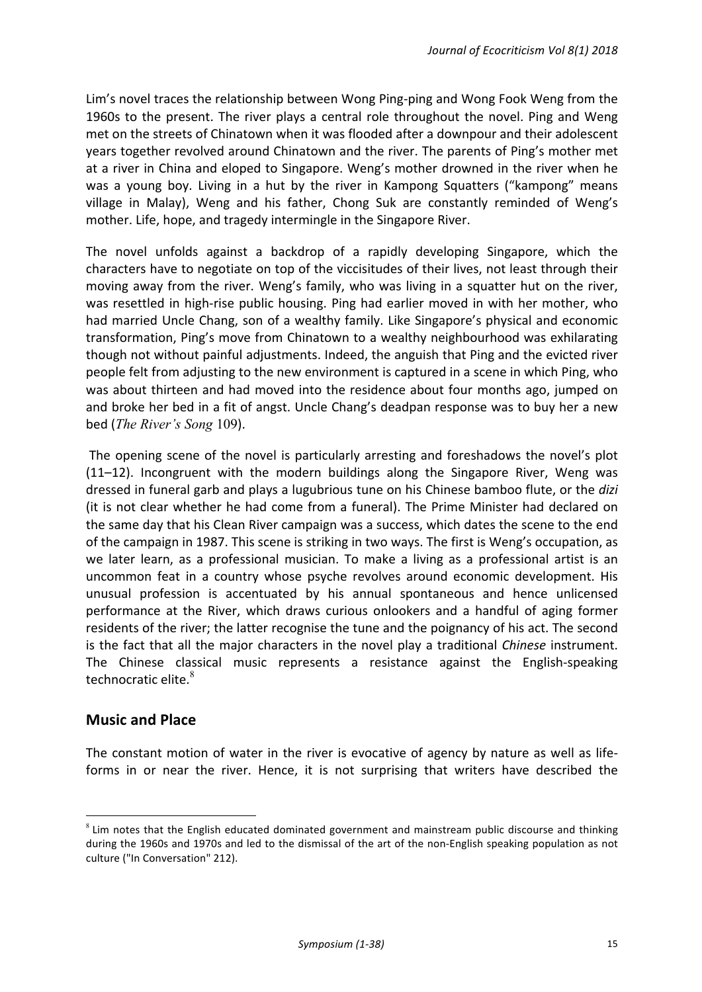Lim's novel traces the relationship between Wong Ping-ping and Wong Fook Weng from the 1960s to the present. The river plays a central role throughout the novel. Ping and Weng met on the streets of Chinatown when it was flooded after a downpour and their adolescent years together revolved around Chinatown and the river. The parents of Ping's mother met at a river in China and eloped to Singapore. Weng's mother drowned in the river when he was a young boy. Living in a hut by the river in Kampong Squatters ("kampong" means village in Malay), Weng and his father, Chong Suk are constantly reminded of Weng's mother. Life, hope, and tragedy intermingle in the Singapore River.

The novel unfolds against a backdrop of a rapidly developing Singapore, which the characters have to negotiate on top of the viccisitudes of their lives, not least through their moving away from the river. Weng's family, who was living in a squatter hut on the river, was resettled in high-rise public housing. Ping had earlier moved in with her mother, who had married Uncle Chang, son of a wealthy family. Like Singapore's physical and economic transformation, Ping's move from Chinatown to a wealthy neighbourhood was exhilarating though not without painful adjustments. Indeed, the anguish that Ping and the evicted river people felt from adjusting to the new environment is captured in a scene in which Ping, who was about thirteen and had moved into the residence about four months ago, jumped on and broke her bed in a fit of angst. Uncle Chang's deadpan response was to buy her a new bed (*The River's Song* 109).

The opening scene of the novel is particularly arresting and foreshadows the novel's plot  $(11-12)$ . Incongruent with the modern buildings along the Singapore River, Weng was dressed in funeral garb and plays a lugubrious tune on his Chinese bamboo flute, or the *dizi* (it is not clear whether he had come from a funeral). The Prime Minister had declared on the same day that his Clean River campaign was a success, which dates the scene to the end of the campaign in 1987. This scene is striking in two ways. The first is Weng's occupation, as we later learn, as a professional musician. To make a living as a professional artist is an uncommon feat in a country whose psyche revolves around economic development. His unusual profession is accentuated by his annual spontaneous and hence unlicensed performance at the River, which draws curious onlookers and a handful of aging former residents of the river; the latter recognise the tune and the poignancy of his act. The second is the fact that all the major characters in the novel play a traditional *Chinese* instrument. The Chinese classical music represents a resistance against the English-speaking technocratic elite. $8<sup>8</sup>$ 

# **Music and Place**

<u> 1989 - Johann Barn, mars ann an t-Amhain an t-Amhain an t-Amhain an t-Amhain an t-Amhain an t-Amhain an t-Amh</u>

The constant motion of water in the river is evocative of agency by nature as well as lifeforms in or near the river. Hence, it is not surprising that writers have described the

 $8$  Lim notes that the English educated dominated government and mainstream public discourse and thinking during the 1960s and 1970s and led to the dismissal of the art of the non-English speaking population as not culture ("In Conversation" 212).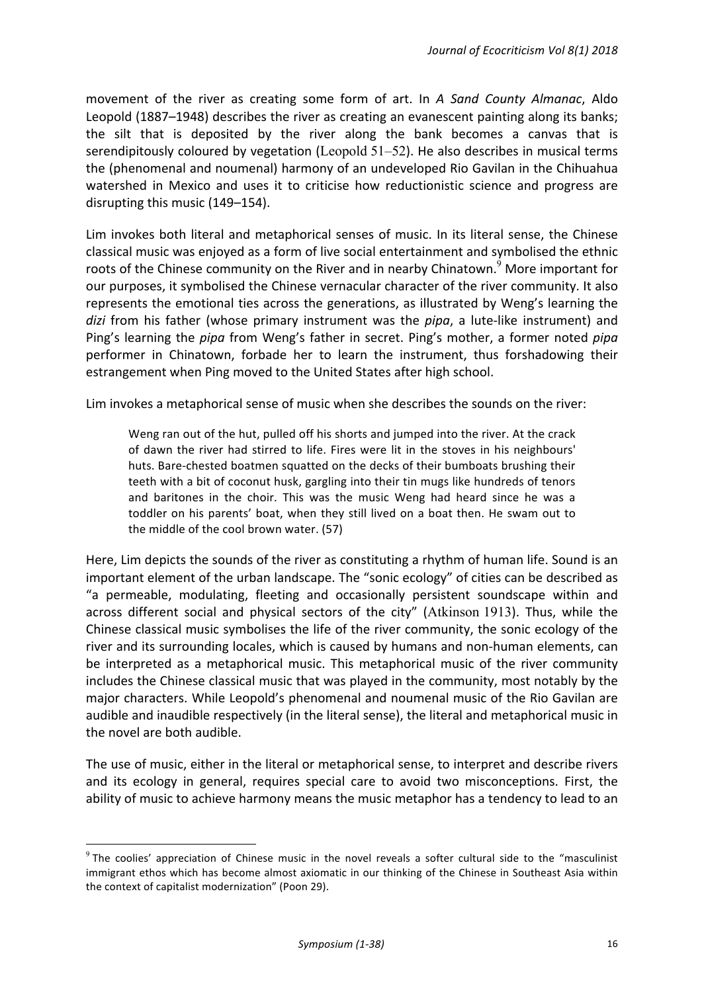movement of the river as creating some form of art. In A Sand County Almanac, Aldo Leopold (1887–1948) describes the river as creating an evanescent painting along its banks; the silt that is deposited by the river along the bank becomes a canvas that is serendipitously coloured by vegetation (Leopold  $51-52$ ). He also describes in musical terms the (phenomenal and noumenal) harmony of an undeveloped Rio Gavilan in the Chihuahua watershed in Mexico and uses it to criticise how reductionistic science and progress are disrupting this music (149–154).

Lim invokes both literal and metaphorical senses of music. In its literal sense, the Chinese classical music was enjoyed as a form of live social entertainment and symbolised the ethnic roots of the Chinese community on the River and in nearby Chinatown.<sup>9</sup> More important for our purposes, it symbolised the Chinese vernacular character of the river community. It also represents the emotional ties across the generations, as illustrated by Weng's learning the *dizi* from his father (whose primary instrument was the *pipa*, a lute-like instrument) and Ping's learning the *pipa* from Weng's father in secret. Ping's mother, a former noted *pipa* performer in Chinatown, forbade her to learn the instrument, thus forshadowing their estrangement when Ping moved to the United States after high school.

Lim invokes a metaphorical sense of music when she describes the sounds on the river:

Weng ran out of the hut, pulled off his shorts and jumped into the river. At the crack of dawn the river had stirred to life. Fires were lit in the stoves in his neighbours' huts. Bare-chested boatmen squatted on the decks of their bumboats brushing their teeth with a bit of coconut husk, gargling into their tin mugs like hundreds of tenors and baritones in the choir. This was the music Weng had heard since he was a toddler on his parents' boat, when they still lived on a boat then. He swam out to the middle of the cool brown water. (57)

Here, Lim depicts the sounds of the river as constituting a rhythm of human life. Sound is an important element of the urban landscape. The "sonic ecology" of cities can be described as "a permeable, modulating, fleeting and occasionally persistent soundscape within and across different social and physical sectors of the city" (Atkinson 1913). Thus, while the Chinese classical music symbolises the life of the river community, the sonic ecology of the river and its surrounding locales, which is caused by humans and non-human elements, can be interpreted as a metaphorical music. This metaphorical music of the river community includes the Chinese classical music that was played in the community, most notably by the major characters. While Leopold's phenomenal and noumenal music of the Rio Gavilan are audible and inaudible respectively (in the literal sense), the literal and metaphorical music in the novel are both audible.

The use of music, either in the literal or metaphorical sense, to interpret and describe rivers and its ecology in general, requires special care to avoid two misconceptions. First, the ability of music to achieve harmony means the music metaphor has a tendency to lead to an

<u> 1989 - Johann Barn, mars ann an t-Amhain an t-Amhain an t-Amhain an t-Amhain an t-Amhain an t-Amhain an t-Amh</u>

 $9$  The coolies' appreciation of Chinese music in the novel reveals a softer cultural side to the "masculinist immigrant ethos which has become almost axiomatic in our thinking of the Chinese in Southeast Asia within the context of capitalist modernization" (Poon 29).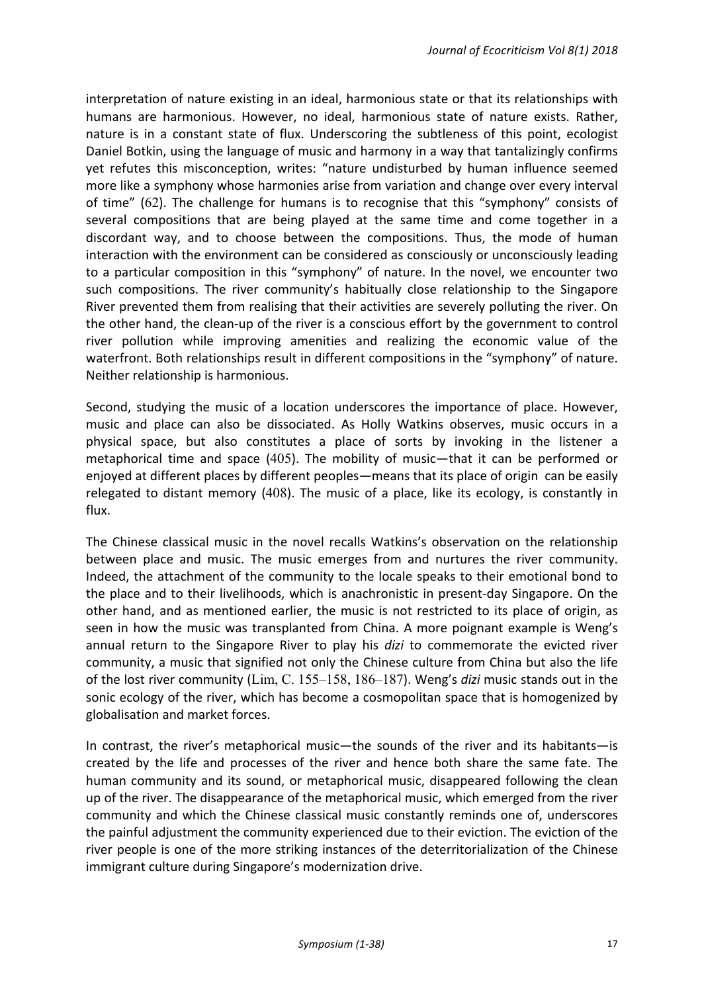interpretation of nature existing in an ideal, harmonious state or that its relationships with humans are harmonious. However, no ideal, harmonious state of nature exists. Rather, nature is in a constant state of flux. Underscoring the subtleness of this point, ecologist Daniel Botkin, using the language of music and harmony in a way that tantalizingly confirms yet refutes this misconception, writes: "nature undisturbed by human influence seemed more like a symphony whose harmonies arise from variation and change over every interval of time"  $(62)$ . The challenge for humans is to recognise that this "symphony" consists of several compositions that are being played at the same time and come together in a discordant way, and to choose between the compositions. Thus, the mode of human interaction with the environment can be considered as consciously or unconsciously leading to a particular composition in this "symphony" of nature. In the novel, we encounter two such compositions. The river community's habitually close relationship to the Singapore River prevented them from realising that their activities are severely polluting the river. On the other hand, the clean-up of the river is a conscious effort by the government to control river pollution while improving amenities and realizing the economic value of the waterfront. Both relationships result in different compositions in the "symphony" of nature. Neither relationship is harmonious.

Second, studying the music of a location underscores the importance of place. However, music and place can also be dissociated. As Holly Watkins observes, music occurs in a physical space, but also constitutes a place of sorts by invoking in the listener a metaphorical time and space  $(405)$ . The mobility of music—that it can be performed or enjoyed at different places by different peoples—means that its place of origin can be easily relegated to distant memory  $(408)$ . The music of a place, like its ecology, is constantly in flux. 

The Chinese classical music in the novel recalls Watkins's observation on the relationship between place and music. The music emerges from and nurtures the river community. Indeed, the attachment of the community to the locale speaks to their emotional bond to the place and to their livelihoods, which is anachronistic in present-day Singapore. On the other hand, and as mentioned earlier, the music is not restricted to its place of origin, as seen in how the music was transplanted from China. A more poignant example is Weng's annual return to the Singapore River to play his *dizi* to commemorate the evicted river community, a music that signified not only the Chinese culture from China but also the life of the lost river community (Lim, C. 155–158, 186–187). Weng's *dizi* music stands out in the sonic ecology of the river, which has become a cosmopolitan space that is homogenized by globalisation and market forces.

In contrast, the river's metaphorical music—the sounds of the river and its habitants—is created by the life and processes of the river and hence both share the same fate. The human community and its sound, or metaphorical music, disappeared following the clean up of the river. The disappearance of the metaphorical music, which emerged from the river community and which the Chinese classical music constantly reminds one of, underscores the painful adjustment the community experienced due to their eviction. The eviction of the river people is one of the more striking instances of the deterritorialization of the Chinese immigrant culture during Singapore's modernization drive.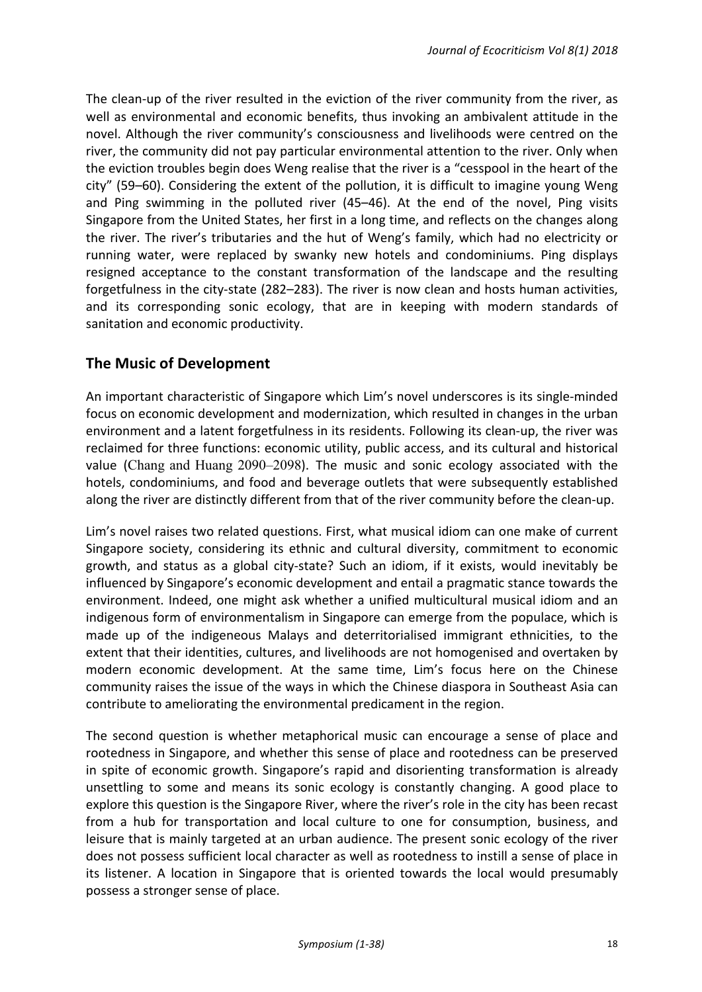The clean-up of the river resulted in the eviction of the river community from the river, as well as environmental and economic benefits, thus invoking an ambivalent attitude in the novel. Although the river community's consciousness and livelihoods were centred on the river, the community did not pay particular environmental attention to the river. Only when the eviction troubles begin does Weng realise that the river is a "cesspool in the heart of the city" (59-60). Considering the extent of the pollution, it is difficult to imagine young Weng and Ping swimming in the polluted river (45–46). At the end of the novel, Ping visits Singapore from the United States, her first in a long time, and reflects on the changes along the river. The river's tributaries and the hut of Weng's family, which had no electricity or running water, were replaced by swanky new hotels and condominiums. Ping displays resigned acceptance to the constant transformation of the landscape and the resulting forgetfulness in the city-state (282–283). The river is now clean and hosts human activities, and its corresponding sonic ecology, that are in keeping with modern standards of sanitation and economic productivity.

# **The Music of Development**

An important characteristic of Singapore which Lim's novel underscores is its single-minded focus on economic development and modernization, which resulted in changes in the urban environment and a latent forgetfulness in its residents. Following its clean-up, the river was reclaimed for three functions: economic utility, public access, and its cultural and historical value (Chang and Huang 2090–2098). The music and sonic ecology associated with the hotels, condominiums, and food and beverage outlets that were subsequently established along the river are distinctly different from that of the river community before the clean-up.

Lim's novel raises two related questions. First, what musical idiom can one make of current Singapore society, considering its ethnic and cultural diversity, commitment to economic growth, and status as a global city-state? Such an idiom, if it exists, would inevitably be influenced by Singapore's economic development and entail a pragmatic stance towards the environment. Indeed, one might ask whether a unified multicultural musical idiom and an indigenous form of environmentalism in Singapore can emerge from the populace, which is made up of the indigeneous Malays and deterritorialised immigrant ethnicities, to the extent that their identities, cultures, and livelihoods are not homogenised and overtaken by modern economic development. At the same time, Lim's focus here on the Chinese community raises the issue of the ways in which the Chinese diaspora in Southeast Asia can contribute to ameliorating the environmental predicament in the region.

The second question is whether metaphorical music can encourage a sense of place and rootedness in Singapore, and whether this sense of place and rootedness can be preserved in spite of economic growth. Singapore's rapid and disorienting transformation is already unsettling to some and means its sonic ecology is constantly changing. A good place to explore this question is the Singapore River, where the river's role in the city has been recast from a hub for transportation and local culture to one for consumption, business, and leisure that is mainly targeted at an urban audience. The present sonic ecology of the river does not possess sufficient local character as well as rootedness to instill a sense of place in its listener. A location in Singapore that is oriented towards the local would presumably possess a stronger sense of place.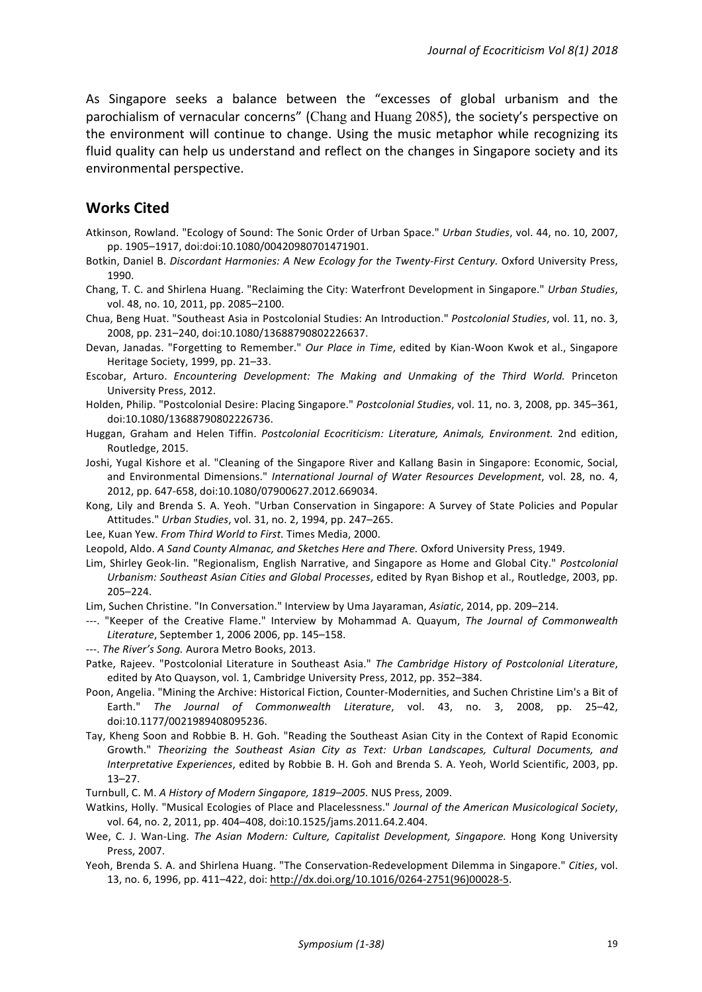As Singapore seeks a balance between the "excesses of global urbanism and the parochialism of vernacular concerns" (Chang and Huang 2085), the society's perspective on the environment will continue to change. Using the music metaphor while recognizing its fluid quality can help us understand and reflect on the changes in Singapore society and its environmental perspective.

#### **Works Cited**

- Atkinson, Rowland. "Ecology of Sound: The Sonic Order of Urban Space." *Urban Studies*, vol. 44, no. 10, 2007, pp. 1905–1917, doi:doi:10.1080/00420980701471901.
- Botkin, Daniel B. *Discordant Harmonies: A New Ecology for the Twenty-First Century.* Oxford University Press, 1990.
- Chang, T. C. and Shirlena Huang. "Reclaiming the City: Waterfront Development in Singapore." *Urban Studies*, vol. 48, no. 10, 2011, pp. 2085-2100.
- Chua, Beng Huat. "Southeast Asia in Postcolonial Studies: An Introduction." Postcolonial Studies, vol. 11, no. 3, 2008, pp. 231-240, doi:10.1080/13688790802226637.
- Devan, Janadas. "Forgetting to Remember." Our Place in Time, edited by Kian-Woon Kwok et al., Singapore Heritage Society, 1999, pp. 21-33.
- Escobar, Arturo. *Encountering Development: The Making and Unmaking of the Third World.* Princeton University Press, 2012.
- Holden, Philip. "Postcolonial Desire: Placing Singapore." *Postcolonial Studies*, vol. 11, no. 3, 2008, pp. 345–361, doi:10.1080/13688790802226736.
- Huggan, Graham and Helen Tiffin. Postcolonial Ecocriticism: Literature, Animals, Environment. 2nd edition, Routledge, 2015.
- Joshi, Yugal Kishore et al. "Cleaning of the Singapore River and Kallang Basin in Singapore: Economic, Social, and Environmental Dimensions." *International Journal of Water Resources Development*, vol. 28, no. 4, 2012, pp. 647-658, doi:10.1080/07900627.2012.669034.
- Kong, Lily and Brenda S. A. Yeoh. "Urban Conservation in Singapore: A Survey of State Policies and Popular Attitudes." *Urban Studies*, vol. 31, no. 2, 1994, pp. 247-265.
- Lee, Kuan Yew. From Third World to First. Times Media, 2000.
- Leopold, Aldo. A Sand County Almanac, and Sketches Here and There. Oxford University Press, 1949.
- Lim, Shirley Geok-lin. "Regionalism, English Narrative, and Singapore as Home and Global City." Postcolonial *Urbanism: Southeast Asian Cities and Global Processes*, edited by Ryan Bishop et al., Routledge, 2003, pp. 205–224.
- Lim, Suchen Christine. "In Conversation." Interview by Uma Jayaraman, Asiatic, 2014, pp. 209-214.
- ---. "Keeper of the Creative Flame." Interview by Mohammad A. Quayum, *The Journal of Commonwealth Literature*, September 1, 2006 2006, pp. 145–158.
- ---. The River's Song. Aurora Metro Books, 2013.
- Patke, Rajeev. "Postcolonial Literature in Southeast Asia." The Cambridge History of Postcolonial Literature, edited by Ato Quayson, vol. 1, Cambridge University Press, 2012, pp. 352-384.
- Poon, Angelia. "Mining the Archive: Historical Fiction, Counter-Modernities, and Suchen Christine Lim's a Bit of Earth." The Journal of Commonwealth Literature, vol. 43, no. 3, 2008, pp. 25–42, doi:10.1177/0021989408095236.
- Tay, Kheng Soon and Robbie B. H. Goh. "Reading the Southeast Asian City in the Context of Rapid Economic Growth." Theorizing the Southeast Asian City as Text: Urban Landscapes, Cultural Documents, and *Interpretative Experiences*, edited by Robbie B. H. Goh and Brenda S. A. Yeoh, World Scientific, 2003, pp. 13–27.
- Turnbull, C. M. A History of Modern Singapore, 1819–2005. NUS Press, 2009.
- Watkins, Holly. "Musical Ecologies of Place and Placelessness." Journal of the American Musicological Society, vol. 64, no. 2, 2011, pp. 404-408, doi:10.1525/jams.2011.64.2.404.
- Wee, C. J. Wan-Ling. The Asian Modern: Culture, Capitalist Development, Singapore. Hong Kong University Press, 2007.
- Yeoh, Brenda S. A. and Shirlena Huang. "The Conservation-Redevelopment Dilemma in Singapore." *Cities*, vol. 13, no. 6, 1996, pp. 411-422, doi: http://dx.doi.org/10.1016/0264-2751(96)00028-5.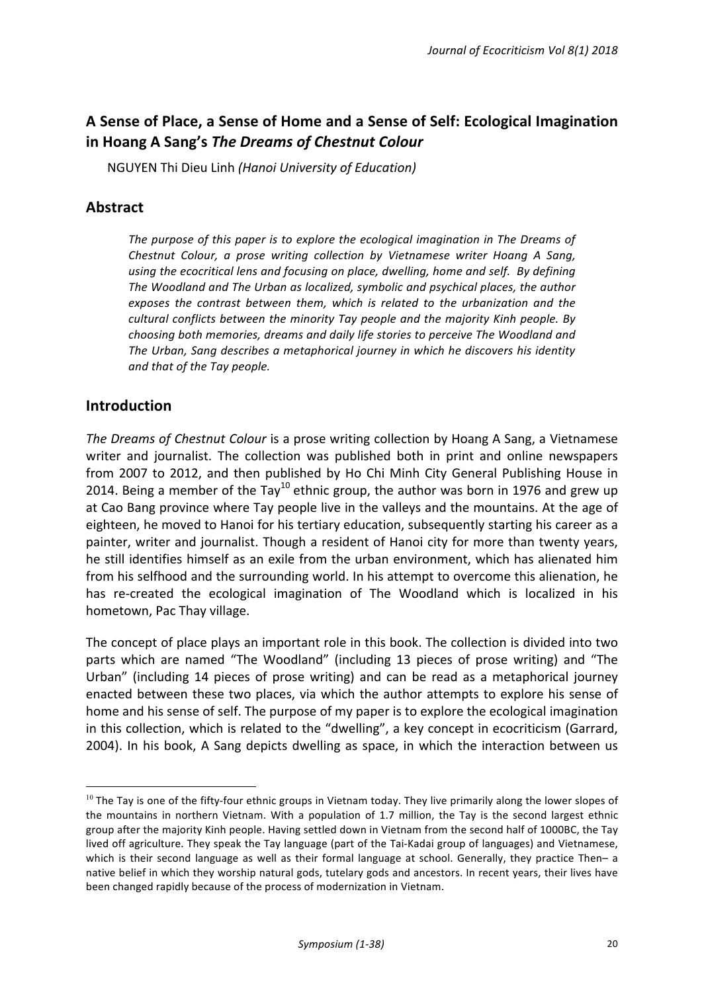# A Sense of Place, a Sense of Home and a Sense of Self: Ecological Imagination **in Hoang A Sang's** *The Dreams of Chestnut Colour*

NGUYEN Thi Dieu Linh *(Hanoi University of Education)*

# **Abstract**

The purpose of this paper is to explore the ecological imagination in The Dreams of *Chestnut Colour, a prose writing collection by Vietnamese writer Hoang A Sang,* using the ecocritical lens and focusing on place, dwelling, home and self. By defining The Woodland and The Urban as localized, symbolic and psychical places, the author exposes the contrast between them, which is related to the urbanization and the *cultural conflicts between the minority Tay people and the majority Kinh people. By* choosing both memories, dreams and daily life stories to perceive The Woodland and The Urban, Sang describes a metaphorical journey in which he discovers his identity and that of the Tay people.

# **Introduction**

<u> 1989 - Johann Barn, mars ann an t-Amhain an t-Amhain an t-Amhain an t-Amhain an t-Amhain an t-Amhain an t-Amh</u>

*The Dreams of Chestnut Colour* is a prose writing collection by Hoang A Sang, a Vietnamese writer and journalist. The collection was published both in print and online newspapers from 2007 to 2012, and then published by Ho Chi Minh City General Publishing House in 2014. Being a member of the Tay<sup>10</sup> ethnic group, the author was born in 1976 and grew up at Cao Bang province where Tay people live in the valleys and the mountains. At the age of eighteen, he moved to Hanoi for his tertiary education, subsequently starting his career as a painter, writer and journalist. Though a resident of Hanoi city for more than twenty years, he still identifies himself as an exile from the urban environment, which has alienated him from his selfhood and the surrounding world. In his attempt to overcome this alienation, he has re-created the ecological imagination of The Woodland which is localized in his hometown, Pac Thay village.

The concept of place plays an important role in this book. The collection is divided into two parts which are named "The Woodland" (including 13 pieces of prose writing) and "The Urban" (including 14 pieces of prose writing) and can be read as a metaphorical journey enacted between these two places, via which the author attempts to explore his sense of home and his sense of self. The purpose of my paper is to explore the ecological imagination in this collection, which is related to the "dwelling", a key concept in ecocriticism (Garrard, 2004). In his book, A Sang depicts dwelling as space, in which the interaction between us

 $10$  The Tay is one of the fifty-four ethnic groups in Vietnam today. They live primarily along the lower slopes of the mountains in northern Vietnam. With a population of 1.7 million, the Tay is the second largest ethnic group after the majority Kinh people. Having settled down in Vietnam from the second half of 1000BC, the Tay lived off agriculture. They speak the Tay language (part of the Tai-Kadai group of languages) and Vietnamese, which is their second language as well as their formal language at school. Generally, they practice Then– a native belief in which they worship natural gods, tutelary gods and ancestors. In recent years, their lives have been changed rapidly because of the process of modernization in Vietnam.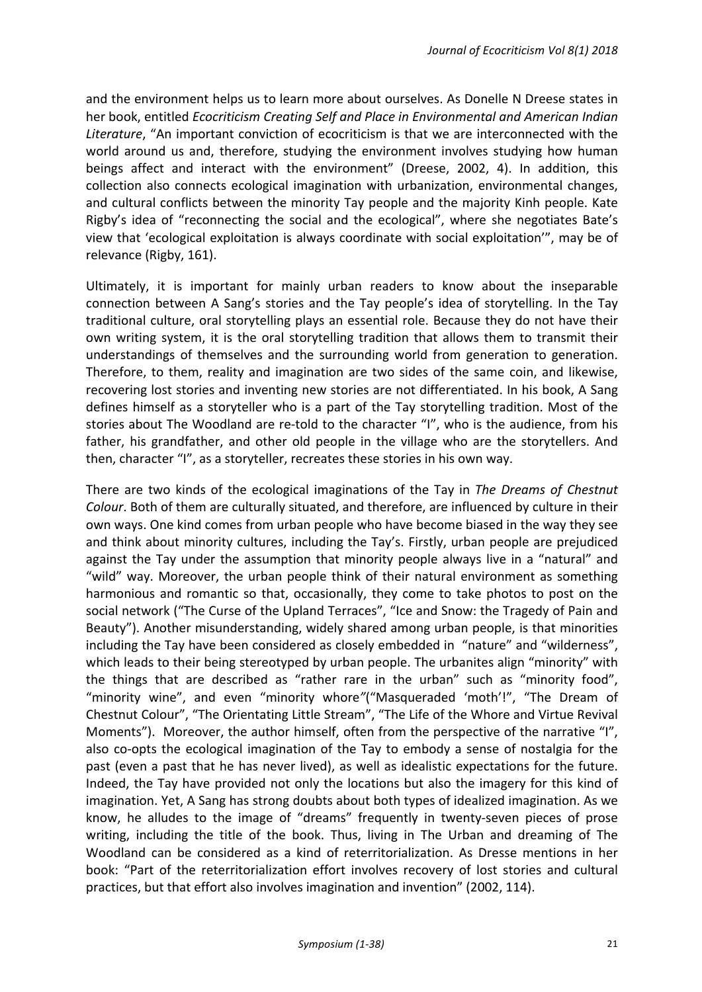and the environment helps us to learn more about ourselves. As Donelle N Dreese states in her book, entitled *Ecocriticism Creating Self and Place in Environmental and American Indian* Literature, "An important conviction of ecocriticism is that we are interconnected with the world around us and, therefore, studying the environment involves studying how human beings affect and interact with the environment" (Dreese, 2002, 4). In addition, this collection also connects ecological imagination with urbanization, environmental changes, and cultural conflicts between the minority Tay people and the majority Kinh people. Kate Rigby's idea of "reconnecting the social and the ecological", where she negotiates Bate's view that 'ecological exploitation is always coordinate with social exploitation'", may be of relevance (Rigby, 161).

Ultimately, it is important for mainly urban readers to know about the inseparable connection between A Sang's stories and the Tay people's idea of storytelling. In the Tay traditional culture, oral storytelling plays an essential role. Because they do not have their own writing system, it is the oral storytelling tradition that allows them to transmit their understandings of themselves and the surrounding world from generation to generation. Therefore, to them, reality and imagination are two sides of the same coin, and likewise, recovering lost stories and inventing new stories are not differentiated. In his book, A Sang defines himself as a storyteller who is a part of the Tay storytelling tradition. Most of the stories about The Woodland are re-told to the character "I", who is the audience, from his father, his grandfather, and other old people in the village who are the storytellers. And then, character "I", as a storyteller, recreates these stories in his own way.

There are two kinds of the ecological imaginations of the Tay in *The Dreams of Chestnut Colour*. Both of them are culturally situated, and therefore, are influenced by culture in their own ways. One kind comes from urban people who have become biased in the way they see and think about minority cultures, including the Tay's. Firstly, urban people are prejudiced against the Tay under the assumption that minority people always live in a "natural" and "wild" way. Moreover, the urban people think of their natural environment as something harmonious and romantic so that, occasionally, they come to take photos to post on the social network ("The Curse of the Upland Terraces", "Ice and Snow: the Tragedy of Pain and Beauty"). Another misunderstanding, widely shared among urban people, is that minorities including the Tay have been considered as closely embedded in "nature" and "wilderness", which leads to their being stereotyped by urban people. The urbanites align "minority" with the things that are described as "rather rare in the urban" such as "minority food", "minority wine", and even "minority whore"("Masqueraded 'moth'!", "The Dream of Chestnut Colour", "The Orientating Little Stream", "The Life of the Whore and Virtue Revival Moments"). Moreover, the author himself, often from the perspective of the narrative "I", also co-opts the ecological imagination of the Tay to embody a sense of nostalgia for the past (even a past that he has never lived), as well as idealistic expectations for the future. Indeed, the Tay have provided not only the locations but also the imagery for this kind of imagination. Yet, A Sang has strong doubts about both types of idealized imagination. As we know, he alludes to the image of "dreams" frequently in twenty-seven pieces of prose writing, including the title of the book. Thus, living in The Urban and dreaming of The Woodland can be considered as a kind of reterritorialization. As Dresse mentions in her book: "Part of the reterritorialization effort involves recovery of lost stories and cultural practices, but that effort also involves imagination and invention" (2002, 114).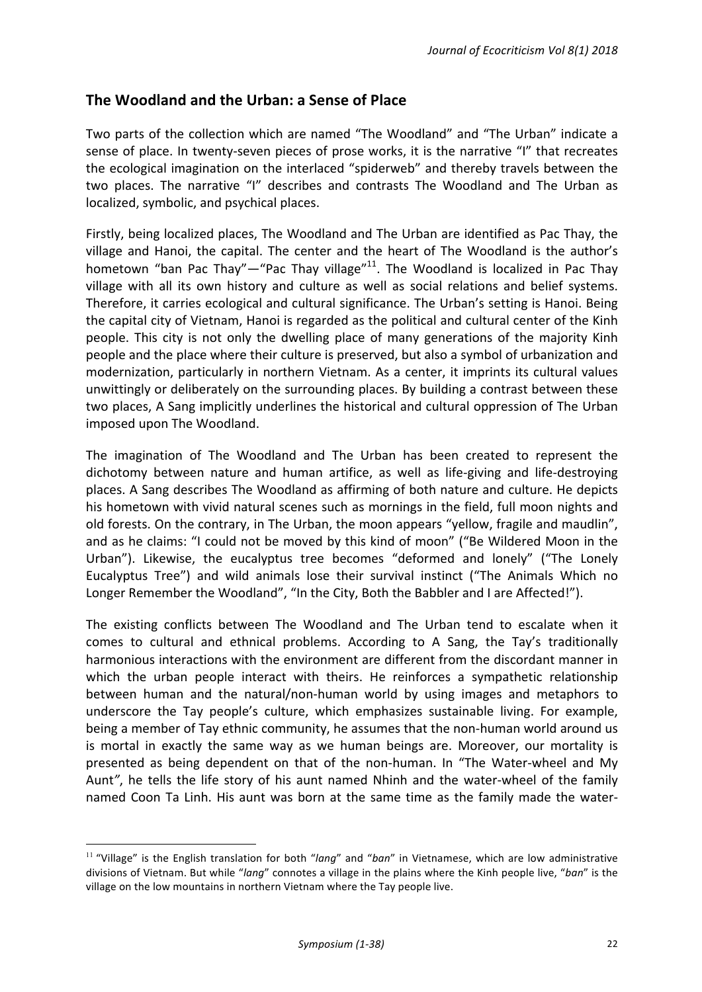# **The Woodland and the Urban: a Sense of Place**

Two parts of the collection which are named "The Woodland" and "The Urban" indicate a sense of place. In twenty-seven pieces of prose works, it is the narrative "I" that recreates the ecological imagination on the interlaced "spiderweb" and thereby travels between the two places. The narrative "I" describes and contrasts The Woodland and The Urban as localized, symbolic, and psychical places.

Firstly, being localized places, The Woodland and The Urban are identified as Pac Thay, the village and Hanoi, the capital. The center and the heart of The Woodland is the author's hometown "ban Pac Thay"—"Pac Thay village"<sup>11</sup>. The Woodland is localized in Pac Thay village with all its own history and culture as well as social relations and belief systems. Therefore, it carries ecological and cultural significance. The Urban's setting is Hanoi. Being the capital city of Vietnam, Hanoi is regarded as the political and cultural center of the Kinh people. This city is not only the dwelling place of many generations of the majority Kinh people and the place where their culture is preserved, but also a symbol of urbanization and modernization, particularly in northern Vietnam. As a center, it imprints its cultural values unwittingly or deliberately on the surrounding places. By building a contrast between these two places. A Sang implicitly underlines the historical and cultural oppression of The Urban imposed upon The Woodland.

The imagination of The Woodland and The Urban has been created to represent the dichotomy between nature and human artifice, as well as life-giving and life-destroying places. A Sang describes The Woodland as affirming of both nature and culture. He depicts his hometown with vivid natural scenes such as mornings in the field, full moon nights and old forests. On the contrary, in The Urban, the moon appears "yellow, fragile and maudlin", and as he claims: "I could not be moved by this kind of moon" ("Be Wildered Moon in the Urban"). Likewise, the eucalyptus tree becomes "deformed and lonely" ("The Lonely Eucalyptus Tree") and wild animals lose their survival instinct ("The Animals Which no Longer Remember the Woodland", "In the City, Both the Babbler and I are Affected!").

The existing conflicts between The Woodland and The Urban tend to escalate when it comes to cultural and ethnical problems. According to A Sang, the Tay's traditionally harmonious interactions with the environment are different from the discordant manner in which the urban people interact with theirs. He reinforces a sympathetic relationship between human and the natural/non-human world by using images and metaphors to underscore the Tay people's culture, which emphasizes sustainable living. For example, being a member of Tay ethnic community, he assumes that the non-human world around us is mortal in exactly the same way as we human beings are. Moreover, our mortality is presented as being dependent on that of the non-human. In "The Water-wheel and My Aunt<sup>"</sup>, he tells the life story of his aunt named Nhinh and the water-wheel of the family named Coon Ta Linh. His aunt was born at the same time as the family made the water-

<u> 1989 - Johann Barn, mars ann an t-Amhain an t-Amhain an t-Amhain an t-Amhain an t-Amhain an t-Amhain an t-Amh</u>

<sup>&</sup>lt;sup>11</sup> "Village" is the English translation for both "*lang*" and "*ban*" in Vietnamese, which are low administrative divisions of Vietnam. But while "*lang*" connotes a village in the plains where the Kinh people live, "ban" is the village on the low mountains in northern Vietnam where the Tay people live.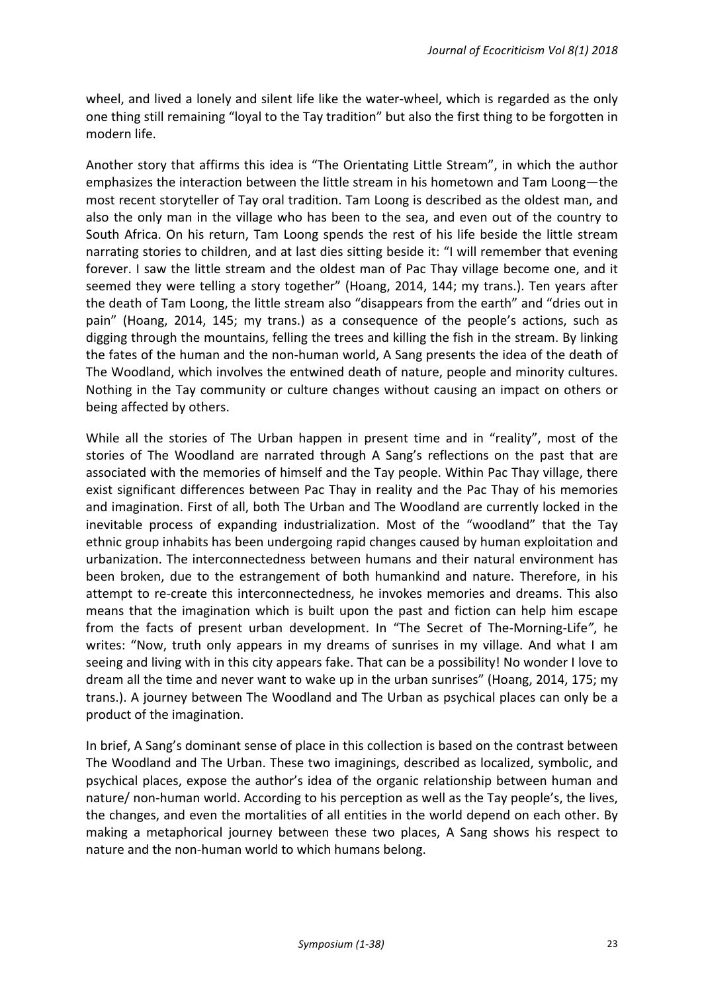wheel, and lived a lonely and silent life like the water-wheel, which is regarded as the only one thing still remaining "loyal to the Tay tradition" but also the first thing to be forgotten in modern life.

Another story that affirms this idea is "The Orientating Little Stream", in which the author emphasizes the interaction between the little stream in his hometown and Tam Loong—the most recent storyteller of Tay oral tradition. Tam Loong is described as the oldest man, and also the only man in the village who has been to the sea, and even out of the country to South Africa. On his return, Tam Loong spends the rest of his life beside the little stream narrating stories to children, and at last dies sitting beside it: "I will remember that evening forever. I saw the little stream and the oldest man of Pac Thay village become one, and it seemed they were telling a story together" (Hoang, 2014, 144; my trans.). Ten years after the death of Tam Loong, the little stream also "disappears from the earth" and "dries out in pain" (Hoang, 2014, 145; my trans.) as a consequence of the people's actions, such as digging through the mountains, felling the trees and killing the fish in the stream. By linking the fates of the human and the non-human world, A Sang presents the idea of the death of The Woodland, which involves the entwined death of nature, people and minority cultures. Nothing in the Tay community or culture changes without causing an impact on others or being affected by others.

While all the stories of The Urban happen in present time and in "reality", most of the stories of The Woodland are narrated through A Sang's reflections on the past that are associated with the memories of himself and the Tay people. Within Pac Thay village, there exist significant differences between Pac Thay in reality and the Pac Thay of his memories and imagination. First of all, both The Urban and The Woodland are currently locked in the inevitable process of expanding industrialization. Most of the "woodland" that the Tay ethnic group inhabits has been undergoing rapid changes caused by human exploitation and urbanization. The interconnectedness between humans and their natural environment has been broken, due to the estrangement of both humankind and nature. Therefore, in his attempt to re-create this interconnectedness, he invokes memories and dreams. This also means that the imagination which is built upon the past and fiction can help him escape from the facts of present urban development. In "The Secret of The-Morning-Life", he writes: "Now, truth only appears in my dreams of sunrises in my village. And what I am seeing and living with in this city appears fake. That can be a possibility! No wonder I love to dream all the time and never want to wake up in the urban sunrises" (Hoang, 2014, 175; my trans.). A journey between The Woodland and The Urban as psychical places can only be a product of the imagination.

In brief, A Sang's dominant sense of place in this collection is based on the contrast between The Woodland and The Urban. These two imaginings, described as localized, symbolic, and psychical places, expose the author's idea of the organic relationship between human and nature/ non-human world. According to his perception as well as the Tay people's, the lives, the changes, and even the mortalities of all entities in the world depend on each other. By making a metaphorical journey between these two places. A Sang shows his respect to nature and the non-human world to which humans belong.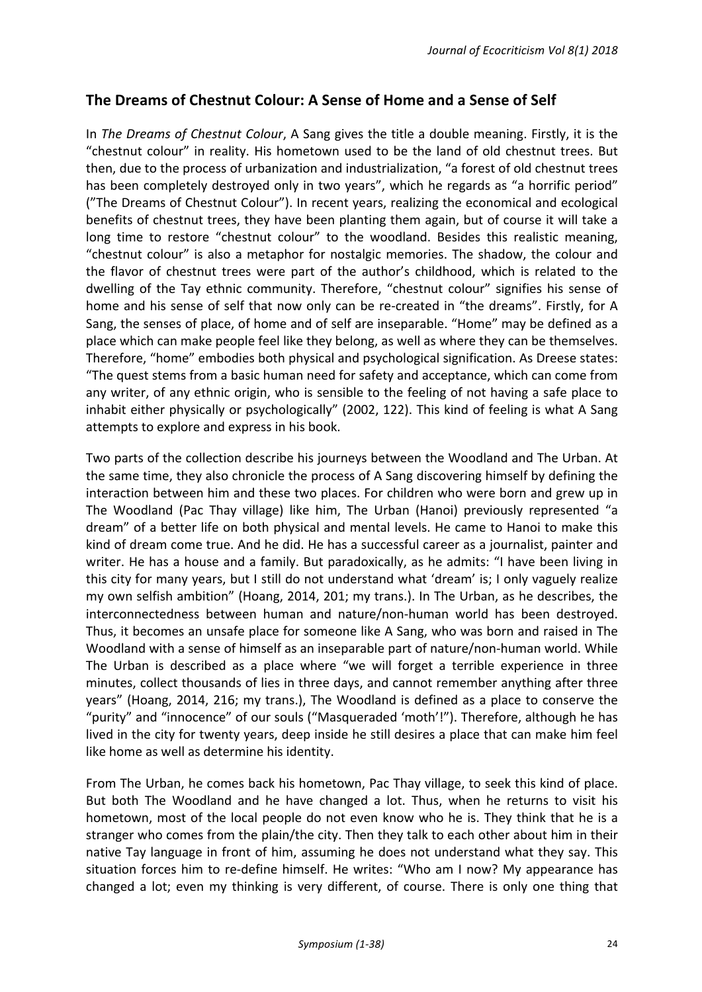# The Dreams of Chestnut Colour: A Sense of Home and a Sense of Self

In *The Dreams of Chestnut Colour*, A Sang gives the title a double meaning. Firstly, it is the "chestnut colour" in reality. His hometown used to be the land of old chestnut trees. But then, due to the process of urbanization and industrialization, "a forest of old chestnut trees has been completely destroyed only in two years", which he regards as "a horrific period" ("The Dreams of Chestnut Colour"). In recent years, realizing the economical and ecological benefits of chestnut trees, they have been planting them again, but of course it will take a long time to restore "chestnut colour" to the woodland. Besides this realistic meaning, "chestnut colour" is also a metaphor for nostalgic memories. The shadow, the colour and the flavor of chestnut trees were part of the author's childhood, which is related to the dwelling of the Tay ethnic community. Therefore, "chestnut colour" signifies his sense of home and his sense of self that now only can be re-created in "the dreams". Firstly, for A Sang, the senses of place, of home and of self are inseparable. "Home" may be defined as a place which can make people feel like they belong, as well as where they can be themselves. Therefore, "home" embodies both physical and psychological signification. As Dreese states: "The quest stems from a basic human need for safety and acceptance, which can come from any writer, of any ethnic origin, who is sensible to the feeling of not having a safe place to inhabit either physically or psychologically" (2002, 122). This kind of feeling is what A Sang attempts to explore and express in his book.

Two parts of the collection describe his journeys between the Woodland and The Urban. At the same time, they also chronicle the process of A Sang discovering himself by defining the interaction between him and these two places. For children who were born and grew up in The Woodland (Pac Thay village) like him, The Urban (Hanoi) previously represented "a dream" of a better life on both physical and mental levels. He came to Hanoi to make this kind of dream come true. And he did. He has a successful career as a journalist, painter and writer. He has a house and a family. But paradoxically, as he admits: "I have been living in this city for many years, but I still do not understand what 'dream' is; I only vaguely realize my own selfish ambition" (Hoang, 2014, 201; my trans.). In The Urban, as he describes, the interconnectedness between human and nature/non-human world has been destroyed. Thus, it becomes an unsafe place for someone like A Sang, who was born and raised in The Woodland with a sense of himself as an inseparable part of nature/non-human world. While The Urban is described as a place where "we will forget a terrible experience in three minutes, collect thousands of lies in three days, and cannot remember anything after three years" (Hoang, 2014, 216; my trans.), The Woodland is defined as a place to conserve the "purity" and "innocence" of our souls ("Masqueraded 'moth'!"). Therefore, although he has lived in the city for twenty years, deep inside he still desires a place that can make him feel like home as well as determine his identity.

From The Urban, he comes back his hometown, Pac Thay village, to seek this kind of place. But both The Woodland and he have changed a lot. Thus, when he returns to visit his hometown, most of the local people do not even know who he is. They think that he is a stranger who comes from the plain/the city. Then they talk to each other about him in their native Tay language in front of him, assuming he does not understand what they say. This situation forces him to re-define himself. He writes: "Who am I now? My appearance has changed a lot; even my thinking is very different, of course. There is only one thing that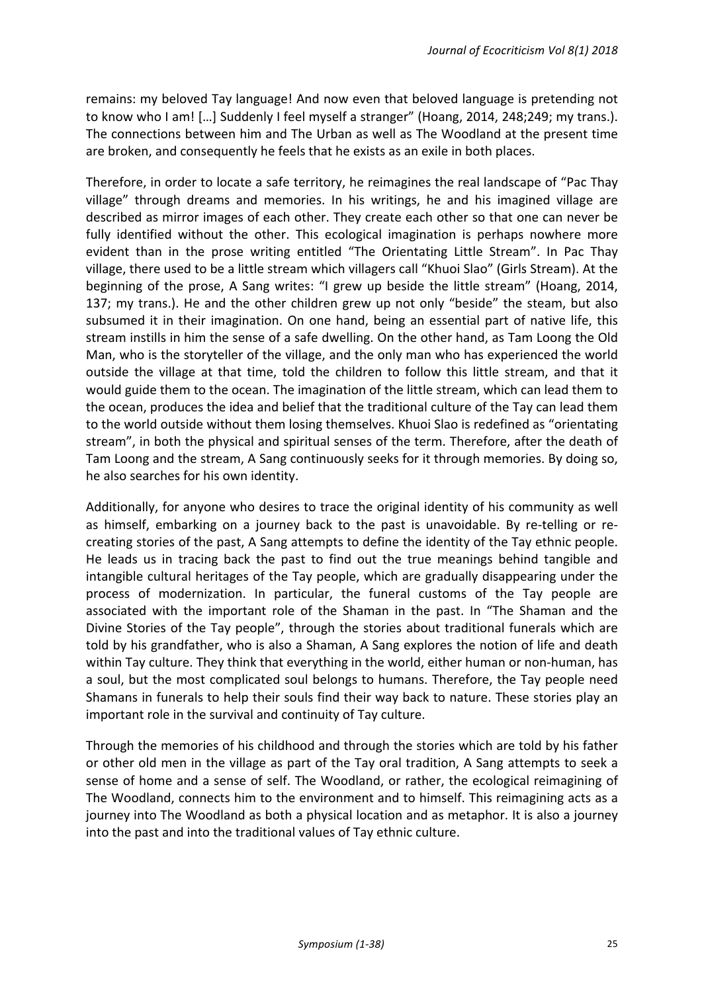remains: my beloved Tay language! And now even that beloved language is pretending not to know who I am! [...] Suddenly I feel myself a stranger" (Hoang, 2014, 248;249; my trans.). The connections between him and The Urban as well as The Woodland at the present time are broken, and consequently he feels that he exists as an exile in both places.

Therefore, in order to locate a safe territory, he reimagines the real landscape of "Pac Thay village" through dreams and memories. In his writings, he and his imagined village are described as mirror images of each other. They create each other so that one can never be fully identified without the other. This ecological imagination is perhaps nowhere more evident than in the prose writing entitled "The Orientating Little Stream". In Pac Thay village, there used to be a little stream which villagers call "Khuoi Slao" (Girls Stream). At the beginning of the prose, A Sang writes: "I grew up beside the little stream" (Hoang, 2014, 137; my trans.). He and the other children grew up not only "beside" the steam, but also subsumed it in their imagination. On one hand, being an essential part of native life, this stream instills in him the sense of a safe dwelling. On the other hand, as Tam Loong the Old Man, who is the storyteller of the village, and the only man who has experienced the world outside the village at that time, told the children to follow this little stream, and that it would guide them to the ocean. The imagination of the little stream, which can lead them to the ocean, produces the idea and belief that the traditional culture of the Tay can lead them to the world outside without them losing themselves. Khuoi Slao is redefined as "orientating stream", in both the physical and spiritual senses of the term. Therefore, after the death of Tam Loong and the stream, A Sang continuously seeks for it through memories. By doing so, he also searches for his own identity.

Additionally, for anyone who desires to trace the original identity of his community as well as himself, embarking on a journey back to the past is unavoidable. By re-telling or recreating stories of the past, A Sang attempts to define the identity of the Tay ethnic people. He leads us in tracing back the past to find out the true meanings behind tangible and intangible cultural heritages of the Tay people, which are gradually disappearing under the process of modernization. In particular, the funeral customs of the Tay people are associated with the important role of the Shaman in the past. In "The Shaman and the Divine Stories of the Tay people", through the stories about traditional funerals which are told by his grandfather, who is also a Shaman, A Sang explores the notion of life and death within Tay culture. They think that everything in the world, either human or non-human, has a soul, but the most complicated soul belongs to humans. Therefore, the Tay people need Shamans in funerals to help their souls find their way back to nature. These stories play an important role in the survival and continuity of Tay culture.

Through the memories of his childhood and through the stories which are told by his father or other old men in the village as part of the Tay oral tradition, A Sang attempts to seek a sense of home and a sense of self. The Woodland, or rather, the ecological reimagining of The Woodland, connects him to the environment and to himself. This reimagining acts as a journey into The Woodland as both a physical location and as metaphor. It is also a journey into the past and into the traditional values of Tay ethnic culture.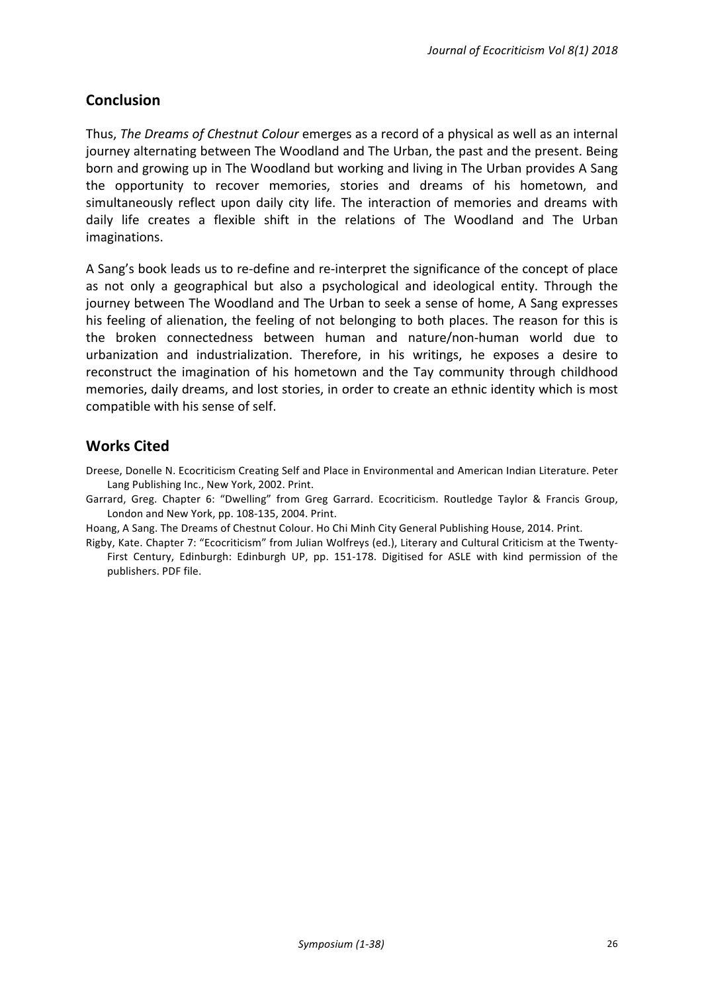# **Conclusion**

Thus, *The Dreams of Chestnut Colour* emerges as a record of a physical as well as an internal journey alternating between The Woodland and The Urban, the past and the present. Being born and growing up in The Woodland but working and living in The Urban provides A Sang the opportunity to recover memories, stories and dreams of his hometown, and simultaneously reflect upon daily city life. The interaction of memories and dreams with daily life creates a flexible shift in the relations of The Woodland and The Urban imaginations. 

A Sang's book leads us to re-define and re-interpret the significance of the concept of place as not only a geographical but also a psychological and ideological entity. Through the journey between The Woodland and The Urban to seek a sense of home, A Sang expresses his feeling of alienation, the feeling of not belonging to both places. The reason for this is the broken connectedness between human and nature/non-human world due to urbanization and industrialization. Therefore, in his writings, he exposes a desire to reconstruct the imagination of his hometown and the Tay community through childhood memories, daily dreams, and lost stories, in order to create an ethnic identity which is most compatible with his sense of self.

# **Works Cited**

Dreese, Donelle N. Ecocriticism Creating Self and Place in Environmental and American Indian Literature. Peter Lang Publishing Inc., New York, 2002. Print.

Garrard, Greg. Chapter 6: "Dwelling" from Greg Garrard. Ecocriticism. Routledge Taylor & Francis Group, London and New York, pp. 108-135, 2004. Print.

Hoang, A Sang. The Dreams of Chestnut Colour. Ho Chi Minh City General Publishing House, 2014. Print.

Rigby, Kate. Chapter 7: "Ecocriticism" from Julian Wolfreys (ed.), Literary and Cultural Criticism at the Twenty-First Century, Edinburgh: Edinburgh UP, pp. 151-178. Digitised for ASLE with kind permission of the publishers. PDF file.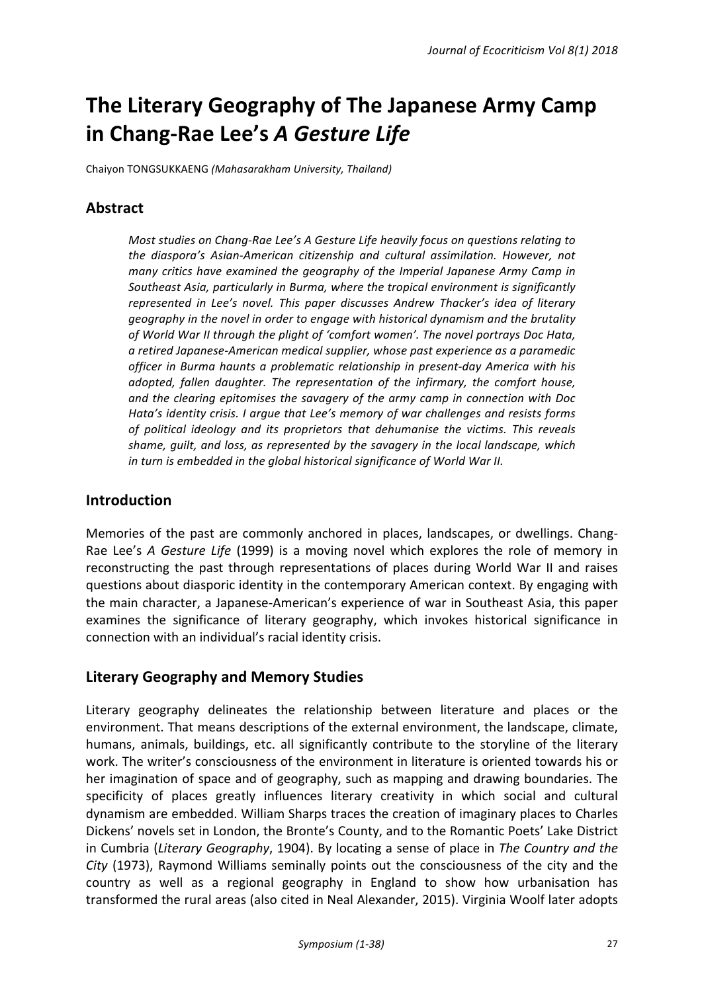# The Literary Geography of The Japanese Army Camp **in Chang-Rae Lee's A Gesture Life**

Chaiyon TONGSUKKAENG *(Mahasarakham University, Thailand)*

# **Abstract**

*Most studies on Chang-Rae Lee's A Gesture Life heavily focus on questions relating to* the diaspora's Asian-American citizenship and cultural assimilation. However, not *many* critics have examined the geography of the Imperial Japanese Army Camp in Southeast Asia, particularly in Burma, where the tropical environment is significantly represented in Lee's novel. This paper discusses Andrew Thacker's idea of literary *geography in the novel in order to engage with historical dynamism and the brutality* of World War II through the plight of 'comfort women'. The novel portrays Doc Hata, *a retired Japanese-American medical supplier, whose past experience as a paramedic*  officer in Burma haunts a problematic relationship in present-day America with his *adopted, fallen daughter.* The representation of the infirmary, the comfort house, and the clearing epitomises the savagery of the army camp in connection with Doc *Hata's identity crisis. I argue that Lee's memory of war challenges and resists forms* of political ideology and its proprietors that dehumanise the victims. This reveals *shame, quilt, and loss, as represented by the savagery in the local landscape, which in turn is embedded in the global historical significance of World War II.* 

# **Introduction**

Memories of the past are commonly anchored in places, landscapes, or dwellings. Chang-Rae Lee's *A Gesture Life* (1999) is a moving novel which explores the role of memory in reconstructing the past through representations of places during World War II and raises questions about diasporic identity in the contemporary American context. By engaging with the main character, a Japanese-American's experience of war in Southeast Asia, this paper examines the significance of literary geography, which invokes historical significance in connection with an individual's racial identity crisis.

# **Literary Geography and Memory Studies**

Literary geography delineates the relationship between literature and places or the environment. That means descriptions of the external environment, the landscape, climate, humans, animals, buildings, etc. all significantly contribute to the storyline of the literary work. The writer's consciousness of the environment in literature is oriented towards his or her imagination of space and of geography, such as mapping and drawing boundaries. The specificity of places greatly influences literary creativity in which social and cultural dynamism are embedded. William Sharps traces the creation of imaginary places to Charles Dickens' novels set in London, the Bronte's County, and to the Romantic Poets' Lake District in Cumbria (*Literary Geography*, 1904). By locating a sense of place in *The Country and the City* (1973), Raymond Williams seminally points out the consciousness of the city and the country as well as a regional geography in England to show how urbanisation has transformed the rural areas (also cited in Neal Alexander, 2015). Virginia Woolf later adopts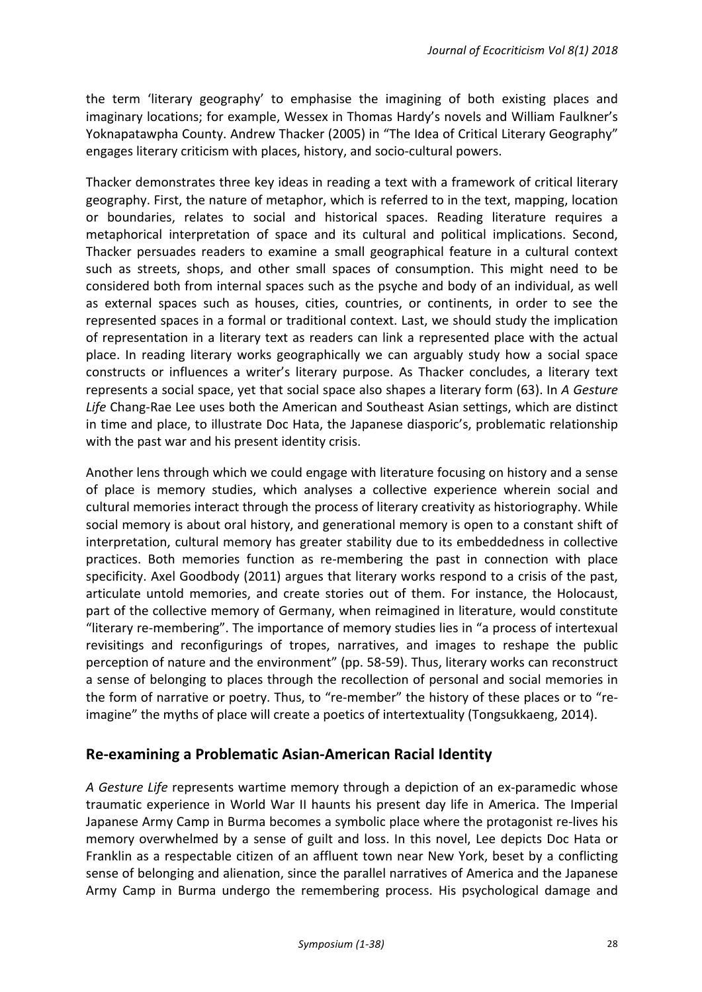the term 'literary geography' to emphasise the imagining of both existing places and imaginary locations; for example, Wessex in Thomas Hardy's novels and William Faulkner's Yoknapatawpha County. Andrew Thacker (2005) in "The Idea of Critical Literary Geography" engages literary criticism with places, history, and socio-cultural powers.

Thacker demonstrates three key ideas in reading a text with a framework of critical literary geography. First, the nature of metaphor, which is referred to in the text, mapping, location or boundaries, relates to social and historical spaces. Reading literature requires a metaphorical interpretation of space and its cultural and political implications. Second, Thacker persuades readers to examine a small geographical feature in a cultural context such as streets, shops, and other small spaces of consumption. This might need to be considered both from internal spaces such as the psyche and body of an individual, as well as external spaces such as houses, cities, countries, or continents, in order to see the represented spaces in a formal or traditional context. Last, we should study the implication of representation in a literary text as readers can link a represented place with the actual place. In reading literary works geographically we can arguably study how a social space constructs or influences a writer's literary purpose. As Thacker concludes, a literary text represents a social space, yet that social space also shapes a literary form (63). In A Gesture Life Chang-Rae Lee uses both the American and Southeast Asian settings, which are distinct in time and place, to illustrate Doc Hata, the Japanese diasporic's, problematic relationship with the past war and his present identity crisis.

Another lens through which we could engage with literature focusing on history and a sense of place is memory studies, which analyses a collective experience wherein social and cultural memories interact through the process of literary creativity as historiography. While social memory is about oral history, and generational memory is open to a constant shift of interpretation, cultural memory has greater stability due to its embeddedness in collective practices. Both memories function as re-membering the past in connection with place specificity. Axel Goodbody (2011) argues that literary works respond to a crisis of the past, articulate untold memories, and create stories out of them. For instance, the Holocaust, part of the collective memory of Germany, when reimagined in literature, would constitute "literary re-membering". The importance of memory studies lies in "a process of intertexual revisitings and reconfigurings of tropes, narratives, and images to reshape the public perception of nature and the environment" (pp. 58-59). Thus, literary works can reconstruct a sense of belonging to places through the recollection of personal and social memories in the form of narrative or poetry. Thus, to "re-member" the history of these places or to "reimagine" the myths of place will create a poetics of intertextuality (Tongsukkaeng, 2014).

# **Re-examining a Problematic Asian-American Racial Identity**

*A* Gesture Life represents wartime memory through a depiction of an ex-paramedic whose traumatic experience in World War II haunts his present day life in America. The Imperial Japanese Army Camp in Burma becomes a symbolic place where the protagonist re-lives his memory overwhelmed by a sense of guilt and loss. In this novel, Lee depicts Doc Hata or Franklin as a respectable citizen of an affluent town near New York, beset by a conflicting sense of belonging and alienation, since the parallel narratives of America and the Japanese Army Camp in Burma undergo the remembering process. His psychological damage and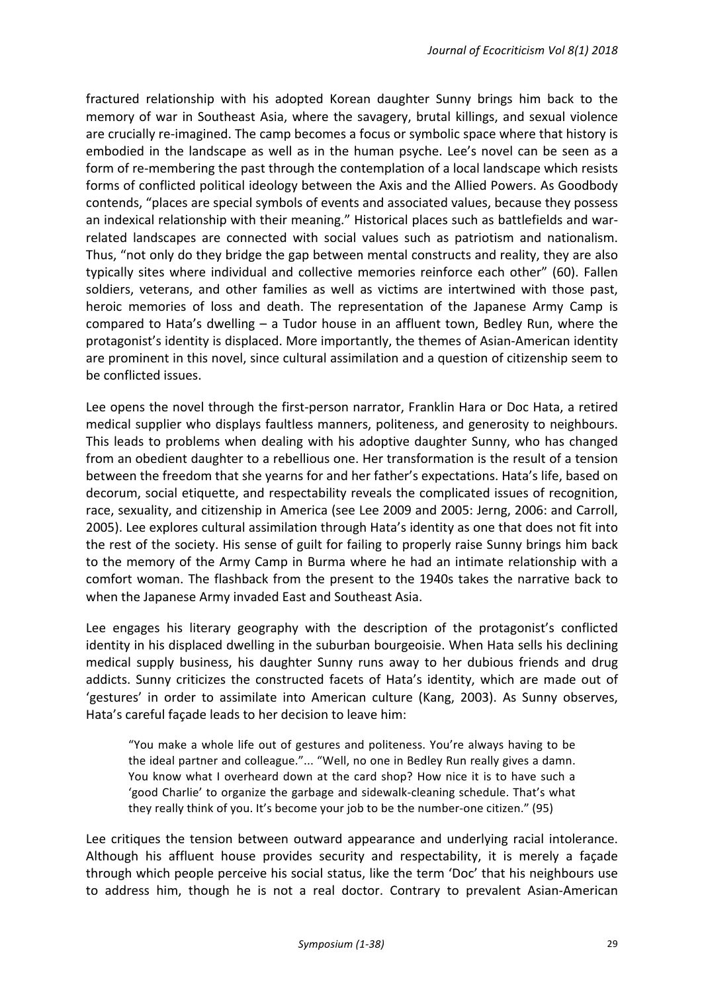fractured relationship with his adopted Korean daughter Sunny brings him back to the memory of war in Southeast Asia, where the savagery, brutal killings, and sexual violence are crucially re-imagined. The camp becomes a focus or symbolic space where that history is embodied in the landscape as well as in the human psyche. Lee's novel can be seen as a form of re-membering the past through the contemplation of a local landscape which resists forms of conflicted political ideology between the Axis and the Allied Powers. As Goodbody contends, "places are special symbols of events and associated values, because they possess an indexical relationship with their meaning." Historical places such as battlefields and warrelated landscapes are connected with social values such as patriotism and nationalism. Thus, "not only do they bridge the gap between mental constructs and reality, they are also typically sites where individual and collective memories reinforce each other" (60). Fallen soldiers, veterans, and other families as well as victims are intertwined with those past, heroic memories of loss and death. The representation of the Japanese Army Camp is compared to Hata's dwelling  $-$  a Tudor house in an affluent town, Bedley Run, where the protagonist's identity is displaced. More importantly, the themes of Asian-American identity are prominent in this novel, since cultural assimilation and a question of citizenship seem to be conflicted issues.

Lee opens the novel through the first-person narrator, Franklin Hara or Doc Hata, a retired medical supplier who displays faultless manners, politeness, and generosity to neighbours. This leads to problems when dealing with his adoptive daughter Sunny, who has changed from an obedient daughter to a rebellious one. Her transformation is the result of a tension between the freedom that she yearns for and her father's expectations. Hata's life, based on decorum, social etiquette, and respectability reveals the complicated issues of recognition, race, sexuality, and citizenship in America (see Lee 2009 and 2005: Jerng, 2006: and Carroll, 2005). Lee explores cultural assimilation through Hata's identity as one that does not fit into the rest of the society. His sense of guilt for failing to properly raise Sunny brings him back to the memory of the Army Camp in Burma where he had an intimate relationship with a comfort woman. The flashback from the present to the 1940s takes the narrative back to when the Japanese Army invaded East and Southeast Asia.

Lee engages his literary geography with the description of the protagonist's conflicted identity in his displaced dwelling in the suburban bourgeoisie. When Hata sells his declining medical supply business, his daughter Sunny runs away to her dubious friends and drug addicts. Sunny criticizes the constructed facets of Hata's identity, which are made out of 'gestures' in order to assimilate into American culture (Kang, 2003). As Sunny observes, Hata's careful façade leads to her decision to leave him:

"You make a whole life out of gestures and politeness. You're always having to be the ideal partner and colleague."... "Well, no one in Bedley Run really gives a damn. You know what I overheard down at the card shop? How nice it is to have such a 'good Charlie' to organize the garbage and sidewalk-cleaning schedule. That's what they really think of you. It's become your job to be the number-one citizen." (95)

Lee critiques the tension between outward appearance and underlying racial intolerance. Although his affluent house provides security and respectability, it is merely a façade through which people perceive his social status, like the term 'Doc' that his neighbours use to address him, though he is not a real doctor. Contrary to prevalent Asian-American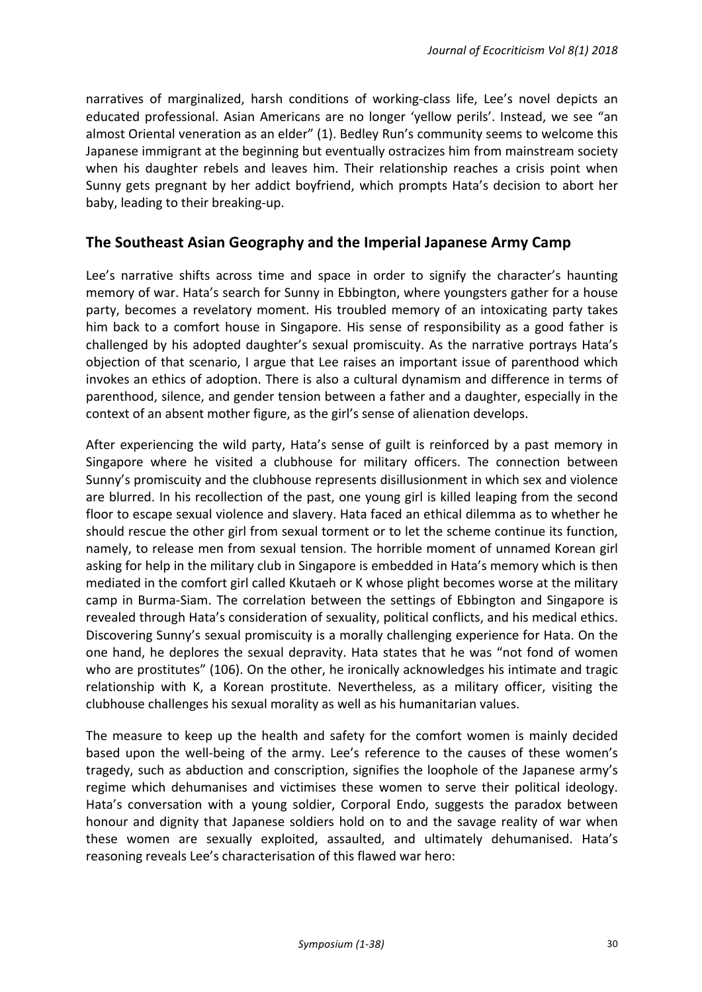narratives of marginalized, harsh conditions of working-class life, Lee's novel depicts an educated professional. Asian Americans are no longer 'yellow perils'. Instead, we see "an almost Oriental veneration as an elder" (1). Bedley Run's community seems to welcome this Japanese immigrant at the beginning but eventually ostracizes him from mainstream society when his daughter rebels and leaves him. Their relationship reaches a crisis point when Sunny gets pregnant by her addict boyfriend, which prompts Hata's decision to abort her baby, leading to their breaking-up.

#### **The Southeast Asian Geography and the Imperial Japanese Army Camp**

Lee's narrative shifts across time and space in order to signify the character's haunting memory of war. Hata's search for Sunny in Ebbington, where youngsters gather for a house party, becomes a revelatory moment. His troubled memory of an intoxicating party takes him back to a comfort house in Singapore. His sense of responsibility as a good father is challenged by his adopted daughter's sexual promiscuity. As the narrative portrays Hata's objection of that scenario, I argue that Lee raises an important issue of parenthood which invokes an ethics of adoption. There is also a cultural dynamism and difference in terms of parenthood, silence, and gender tension between a father and a daughter, especially in the context of an absent mother figure, as the girl's sense of alienation develops.

After experiencing the wild party, Hata's sense of guilt is reinforced by a past memory in Singapore where he visited a clubhouse for military officers. The connection between Sunny's promiscuity and the clubhouse represents disillusionment in which sex and violence are blurred. In his recollection of the past, one young girl is killed leaping from the second floor to escape sexual violence and slavery. Hata faced an ethical dilemma as to whether he should rescue the other girl from sexual torment or to let the scheme continue its function, namely, to release men from sexual tension. The horrible moment of unnamed Korean girl asking for help in the military club in Singapore is embedded in Hata's memory which is then mediated in the comfort girl called Kkutaeh or K whose plight becomes worse at the military camp in Burma-Siam. The correlation between the settings of Ebbington and Singapore is revealed through Hata's consideration of sexuality, political conflicts, and his medical ethics. Discovering Sunny's sexual promiscuity is a morally challenging experience for Hata. On the one hand, he deplores the sexual depravity. Hata states that he was "not fond of women who are prostitutes" (106). On the other, he ironically acknowledges his intimate and tragic relationship with K, a Korean prostitute. Nevertheless, as a military officer, visiting the clubhouse challenges his sexual morality as well as his humanitarian values.

The measure to keep up the health and safety for the comfort women is mainly decided based upon the well-being of the army. Lee's reference to the causes of these women's tragedy, such as abduction and conscription, signifies the loophole of the Japanese army's regime which dehumanises and victimises these women to serve their political ideology. Hata's conversation with a young soldier, Corporal Endo, suggests the paradox between honour and dignity that Japanese soldiers hold on to and the savage reality of war when these women are sexually exploited, assaulted, and ultimately dehumanised. Hata's reasoning reveals Lee's characterisation of this flawed war hero: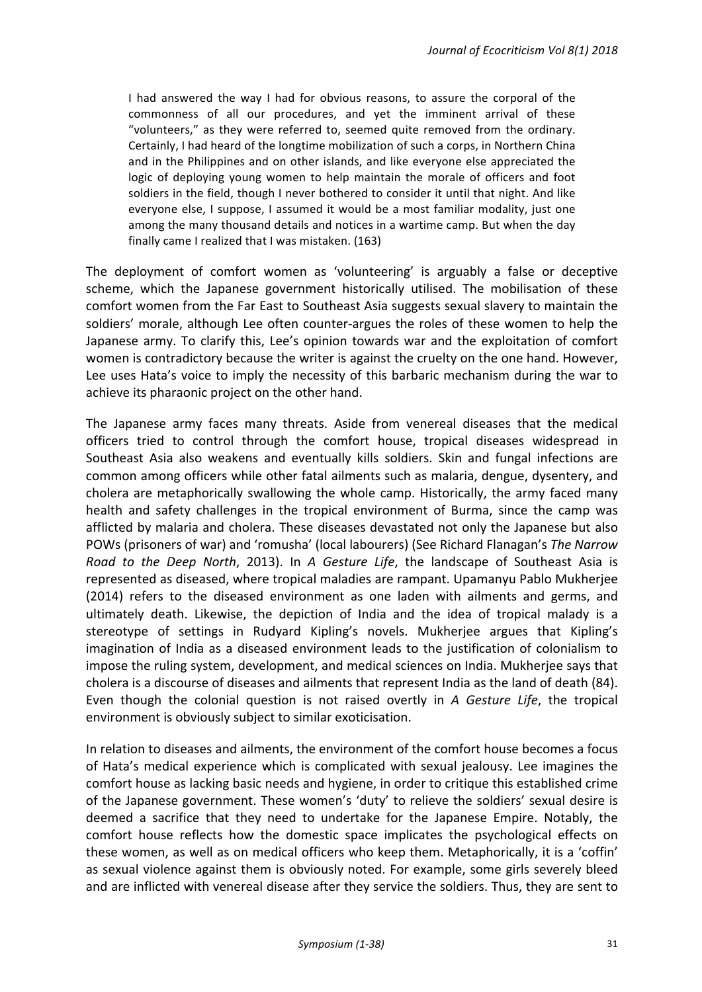I had answered the way I had for obvious reasons, to assure the corporal of the commonness of all our procedures, and yet the imminent arrival of these "volunteers," as they were referred to, seemed quite removed from the ordinary. Certainly, I had heard of the longtime mobilization of such a corps, in Northern China and in the Philippines and on other islands, and like everyone else appreciated the logic of deploying young women to help maintain the morale of officers and foot soldiers in the field, though I never bothered to consider it until that night. And like everyone else, I suppose, I assumed it would be a most familiar modality, just one among the many thousand details and notices in a wartime camp. But when the day finally came I realized that I was mistaken. (163)

The deployment of comfort women as 'volunteering' is arguably a false or deceptive scheme, which the Japanese government historically utilised. The mobilisation of these comfort women from the Far East to Southeast Asia suggests sexual slavery to maintain the soldiers' morale, although Lee often counter-argues the roles of these women to help the Japanese army. To clarify this, Lee's opinion towards war and the exploitation of comfort women is contradictory because the writer is against the cruelty on the one hand. However, Lee uses Hata's voice to imply the necessity of this barbaric mechanism during the war to achieve its pharaonic project on the other hand.

The Japanese army faces many threats. Aside from venereal diseases that the medical officers tried to control through the comfort house, tropical diseases widespread in Southeast Asia also weakens and eventually kills soldiers. Skin and fungal infections are common among officers while other fatal ailments such as malaria, dengue, dysentery, and cholera are metaphorically swallowing the whole camp. Historically, the army faced many health and safety challenges in the tropical environment of Burma, since the camp was afflicted by malaria and cholera. These diseases devastated not only the Japanese but also POWs (prisoners of war) and 'romusha' (local labourers) (See Richard Flanagan's *The Narrow Road* to the *Deep North*, 2013). In *A Gesture Life*, the landscape of Southeast Asia is represented as diseased, where tropical maladies are rampant. Upamanyu Pablo Mukherjee (2014) refers to the diseased environment as one laden with ailments and germs, and ultimately death. Likewise, the depiction of India and the idea of tropical malady is a stereotype of settings in Rudyard Kipling's novels. Mukherjee argues that Kipling's imagination of India as a diseased environment leads to the justification of colonialism to impose the ruling system, development, and medical sciences on India. Mukherjee says that cholera is a discourse of diseases and ailments that represent India as the land of death (84). Even though the colonial question is not raised overtly in *A Gesture Life*, the tropical environment is obviously subject to similar exoticisation.

In relation to diseases and ailments, the environment of the comfort house becomes a focus of Hata's medical experience which is complicated with sexual jealousy. Lee imagines the comfort house as lacking basic needs and hygiene, in order to critique this established crime of the Japanese government. These women's 'duty' to relieve the soldiers' sexual desire is deemed a sacrifice that they need to undertake for the Japanese Empire. Notably, the comfort house reflects how the domestic space implicates the psychological effects on these women, as well as on medical officers who keep them. Metaphorically, it is a 'coffin' as sexual violence against them is obviously noted. For example, some girls severely bleed and are inflicted with venereal disease after they service the soldiers. Thus, they are sent to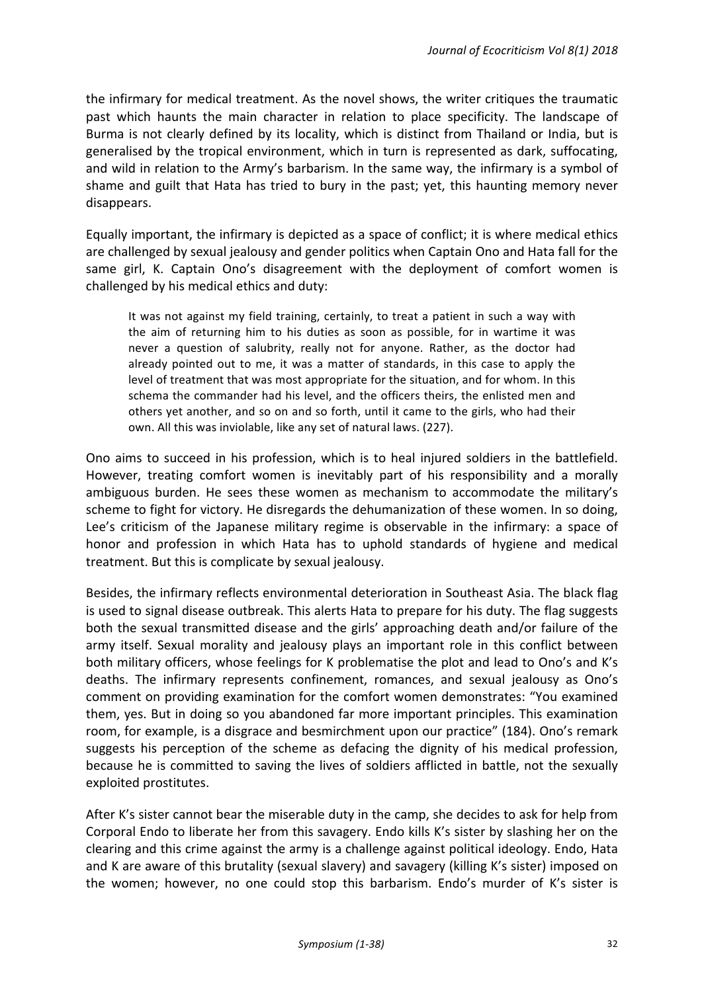the infirmary for medical treatment. As the novel shows, the writer critiques the traumatic past which haunts the main character in relation to place specificity. The landscape of Burma is not clearly defined by its locality, which is distinct from Thailand or India, but is generalised by the tropical environment, which in turn is represented as dark, suffocating, and wild in relation to the Army's barbarism. In the same way, the infirmary is a symbol of shame and guilt that Hata has tried to bury in the past; yet, this haunting memory never disappears.

Equally important, the infirmary is depicted as a space of conflict; it is where medical ethics are challenged by sexual jealousy and gender politics when Captain Ono and Hata fall for the same girl, K. Captain Ono's disagreement with the deployment of comfort women is challenged by his medical ethics and duty:

It was not against my field training, certainly, to treat a patient in such a way with the aim of returning him to his duties as soon as possible, for in wartime it was never a question of salubrity, really not for anyone. Rather, as the doctor had already pointed out to me, it was a matter of standards, in this case to apply the level of treatment that was most appropriate for the situation, and for whom. In this schema the commander had his level, and the officers theirs, the enlisted men and others yet another, and so on and so forth, until it came to the girls, who had their own. All this was inviolable, like any set of natural laws. (227).

Ono aims to succeed in his profession, which is to heal injured soldiers in the battlefield. However, treating comfort women is inevitably part of his responsibility and a morally ambiguous burden. He sees these women as mechanism to accommodate the military's scheme to fight for victory. He disregards the dehumanization of these women. In so doing, Lee's criticism of the Japanese military regime is observable in the infirmary: a space of honor and profession in which Hata has to uphold standards of hygiene and medical treatment. But this is complicate by sexual jealousy.

Besides, the infirmary reflects environmental deterioration in Southeast Asia. The black flag is used to signal disease outbreak. This alerts Hata to prepare for his duty. The flag suggests both the sexual transmitted disease and the girls' approaching death and/or failure of the army itself. Sexual morality and jealousy plays an important role in this conflict between both military officers, whose feelings for K problematise the plot and lead to Ono's and K's deaths. The infirmary represents confinement, romances, and sexual jealousy as Ono's comment on providing examination for the comfort women demonstrates: "You examined them, yes. But in doing so you abandoned far more important principles. This examination room, for example, is a disgrace and besmirchment upon our practice" (184). Ono's remark suggests his perception of the scheme as defacing the dignity of his medical profession, because he is committed to saving the lives of soldiers afflicted in battle, not the sexually exploited prostitutes.

After K's sister cannot bear the miserable duty in the camp, she decides to ask for help from Corporal Endo to liberate her from this savagery. Endo kills K's sister by slashing her on the clearing and this crime against the army is a challenge against political ideology. Endo, Hata and K are aware of this brutality (sexual slavery) and savagery (killing K's sister) imposed on the women; however, no one could stop this barbarism. Endo's murder of K's sister is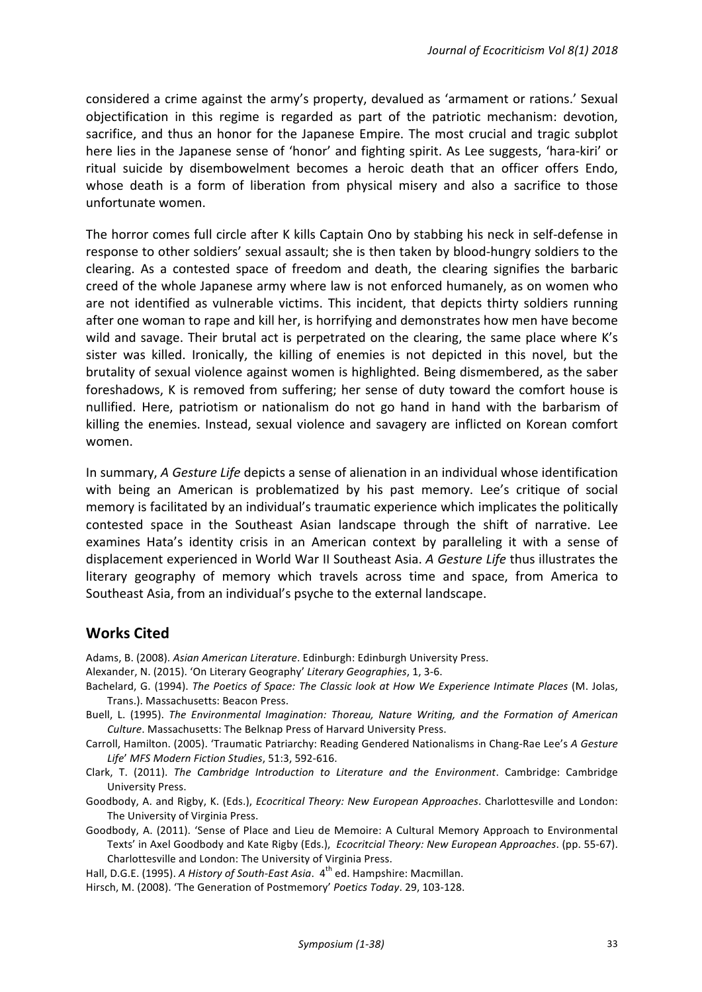considered a crime against the army's property, devalued as 'armament or rations.' Sexual objectification in this regime is regarded as part of the patriotic mechanism: devotion, sacrifice, and thus an honor for the Japanese Empire. The most crucial and tragic subplot here lies in the Japanese sense of 'honor' and fighting spirit. As Lee suggests, 'hara-kiri' or ritual suicide by disembowelment becomes a heroic death that an officer offers Endo, whose death is a form of liberation from physical misery and also a sacrifice to those unfortunate women.

The horror comes full circle after K kills Captain Ono by stabbing his neck in self-defense in response to other soldiers' sexual assault; she is then taken by blood-hungry soldiers to the clearing. As a contested space of freedom and death, the clearing signifies the barbaric creed of the whole Japanese army where law is not enforced humanely, as on women who are not identified as vulnerable victims. This incident, that depicts thirty soldiers running after one woman to rape and kill her, is horrifying and demonstrates how men have become wild and savage. Their brutal act is perpetrated on the clearing, the same place where K's sister was killed. Ironically, the killing of enemies is not depicted in this novel, but the brutality of sexual violence against women is highlighted. Being dismembered, as the saber foreshadows, K is removed from suffering; her sense of duty toward the comfort house is nullified. Here, patriotism or nationalism do not go hand in hand with the barbarism of killing the enemies. Instead, sexual violence and savagery are inflicted on Korean comfort women. 

In summary, *A Gesture Life* depicts a sense of alienation in an individual whose identification with being an American is problematized by his past memory. Lee's critique of social memory is facilitated by an individual's traumatic experience which implicates the politically contested space in the Southeast Asian landscape through the shift of narrative. Lee examines Hata's identity crisis in an American context by paralleling it with a sense of displacement experienced in World War II Southeast Asia. A Gesture Life thus illustrates the literary geography of memory which travels across time and space, from America to Southeast Asia, from an individual's psyche to the external landscape.

#### **Works Cited**

Adams, B. (2008). *Asian American Literature*. Edinburgh: Edinburgh University Press.

- Alexander, N. (2015). 'On Literary Geography' Literary Geographies, 1, 3-6.
- Bachelard, G. (1994). *The Poetics of Space: The Classic look at How We Experience Intimate Places* (M. Jolas, Trans.). Massachusetts: Beacon Press.
- Buell, L. (1995). The Environmental Imagination: Thoreau, Nature Writing, and the Formation of American *Culture*. Massachusetts: The Belknap Press of Harvard University Press.

Carroll, Hamilton. (2005). 'Traumatic Patriarchy: Reading Gendered Nationalisms in Chang-Rae Lee's A Gesture *Life*' *MFS Modern Fiction Studies*, 51:3, 592-616.

Clark, T. (2011). *The Cambridge Introduction to Literature and the Environment*. Cambridge: Cambridge University Press.

Goodbody, A. and Rigby, K. (Eds.), *Ecocritical Theory: New European Approaches*. Charlottesville and London: The University of Virginia Press.

Goodbody, A. (2011). 'Sense of Place and Lieu de Memoire: A Cultural Memory Approach to Environmental Texts' in Axel Goodbody and Kate Rigby (Eds.), *Ecocritcial Theory: New European Approaches*. (pp. 55-67). Charlottesville and London: The University of Virginia Press.

Hall, D.G.E. (1995). A History of South-East Asia. 4<sup>th</sup> ed. Hampshire: Macmillan.

Hirsch, M. (2008). 'The Generation of Postmemory' Poetics Today. 29, 103-128.